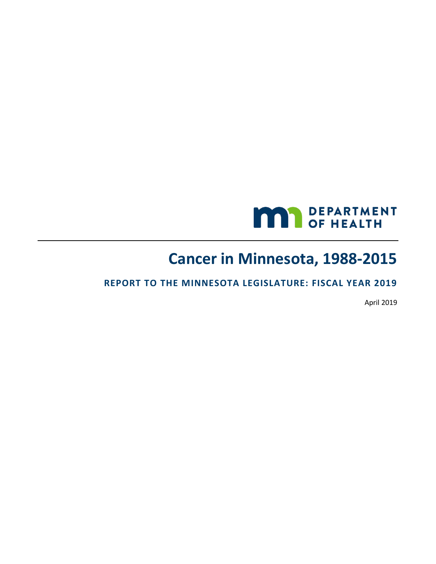

# **Cancer in Minnesota, 1988-2015**

### **REPORT TO THE MINNESOTA LEGISLATURE: FISCAL YEAR 2019**

April 2019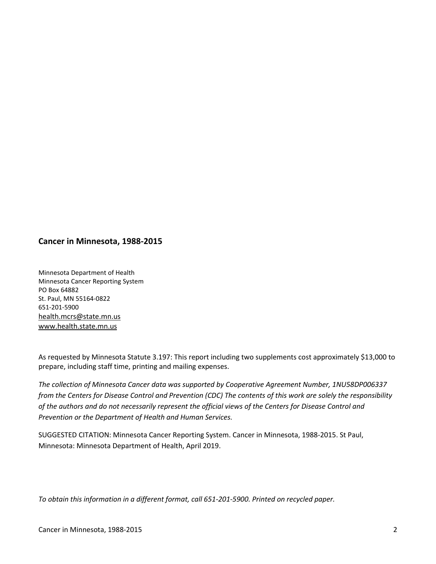#### **Cancer in Minnesota, 1988-2015**

Minnesota Department of Health Minnesota Cancer Reporting System PO Box 64882 St. Paul, MN 55164-0822 651-201-5900 [health.mcrs@state.mn.us](mailto:health.mcrs@state.mn.us) [www.health.state.mn.us](https://www.health.state.mn.us/)

As requested by Minnesota Statute 3.197: This report including two supplements cost approximately \$13,000 to prepare, including staff time, printing and mailing expenses.

*The collection of Minnesota Cancer data was supported by Cooperative Agreement Number, 1NU58DP006337 from the Centers for Disease Control and Prevention (CDC) The contents of this work are solely the responsibility of the authors and do not necessarily represent the official views of the Centers for Disease Control and Prevention or the Department of Health and Human Services.*

SUGGESTED CITATION: Minnesota Cancer Reporting System. Cancer in Minnesota, 1988-2015. St Paul, Minnesota: Minnesota Department of Health, April 2019.

*To obtain this information in a different format, call 651-201-5900. Printed on recycled paper.*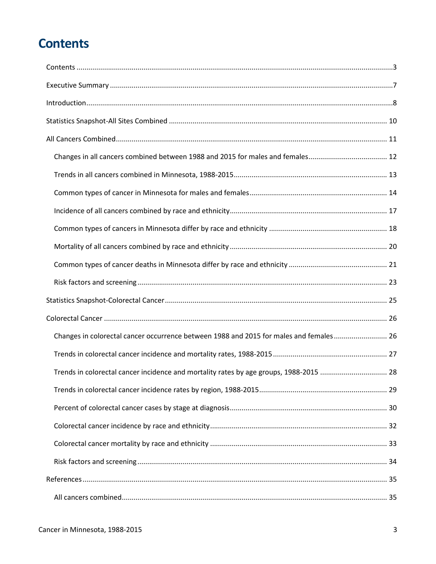# <span id="page-2-0"></span>**Contents**

| Changes in colorectal cancer occurrence between 1988 and 2015 for males and females 26 |  |
|----------------------------------------------------------------------------------------|--|
|                                                                                        |  |
| Trends in colorectal cancer incidence and mortality rates by age groups, 1988-2015  28 |  |
|                                                                                        |  |
|                                                                                        |  |
|                                                                                        |  |
|                                                                                        |  |
|                                                                                        |  |
|                                                                                        |  |
|                                                                                        |  |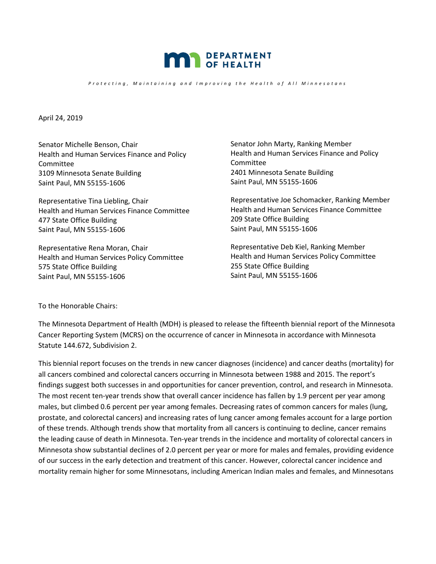

*Protecting, Maintaining and Improving the Health of All Minnesotans* 

April 24, 2019

Senator Michelle Benson, Chair Health and Human Services Finance and Policy Committee 3109 Minnesota Senate Building Saint Paul, MN 55155-1606

Representative Tina Liebling, Chair Health and Human Services Finance Committee 477 State Office Building Saint Paul, MN 55155-1606

Representative Rena Moran, Chair Health and Human Services Policy Committee 575 State Office Building Saint Paul, MN 55155-1606

Senator John Marty, Ranking Member Health and Human Services Finance and Policy Committee 2401 Minnesota Senate Building Saint Paul, MN 55155-1606

Representative Joe Schomacker, Ranking Member Health and Human Services Finance Committee 209 State Office Building Saint Paul, MN 55155-1606

Representative Deb Kiel, Ranking Member Health and Human Services Policy Committee 255 State Office Building Saint Paul, MN 55155-1606

To the Honorable Chairs:

The Minnesota Department of Health (MDH) is pleased to release the fifteenth biennial report of the Minnesota Cancer Reporting System (MCRS) on the occurrence of cancer in Minnesota in accordance with Minnesota Statute 144.672, Subdivision 2.

This biennial report focuses on the trends in new cancer diagnoses (incidence) and cancer deaths (mortality) for all cancers combined and colorectal cancers occurring in Minnesota between 1988 and 2015. The report's findings suggest both successes in and opportunities for cancer prevention, control, and research in Minnesota. The most recent ten-year trends show that overall cancer incidence has fallen by 1.9 percent per year among males, but climbed 0.6 percent per year among females. Decreasing rates of common cancers for males (lung, prostate, and colorectal cancers) and increasing rates of lung cancer among females account for a large portion of these trends. Although trends show that mortality from all cancers is continuing to decline, cancer remains the leading cause of death in Minnesota. Ten-year trends in the incidence and mortality of colorectal cancers in Minnesota show substantial declines of 2.0 percent per year or more for males and females, providing evidence of our success in the early detection and treatment of this cancer. However, colorectal cancer incidence and mortality remain higher for some Minnesotans, including American Indian males and females, and Minnesotans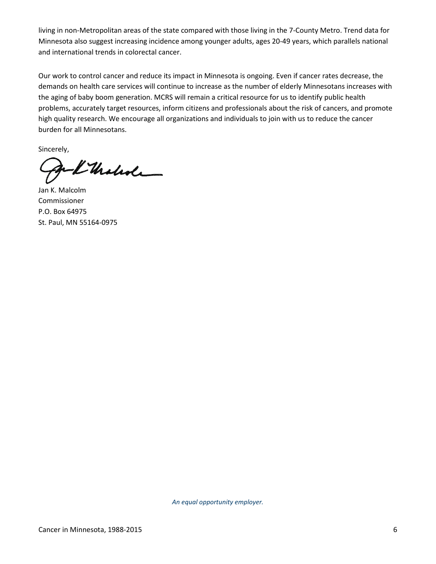living in non-Metropolitan areas of the state compared with those living in the 7-County Metro. Trend data for Minnesota also suggest increasing incidence among younger adults, ages 20-49 years, which parallels national and international trends in colorectal cancer.

Our work to control cancer and reduce its impact in Minnesota is ongoing. Even if cancer rates decrease, the demands on health care services will continue to increase as the number of elderly Minnesotans increases with the aging of baby boom generation. MCRS will remain a critical resource for us to identify public health problems, accurately target resources, inform citizens and professionals about the risk of cancers, and promote high quality research. We encourage all organizations and individuals to join with us to reduce the cancer burden for all Minnesotans.

Sincerely,

I thatede

Jan K. Malcolm Commissioner P.O. Box 64975 St. Paul, MN 55164-0975

*An equal opportunity employer.*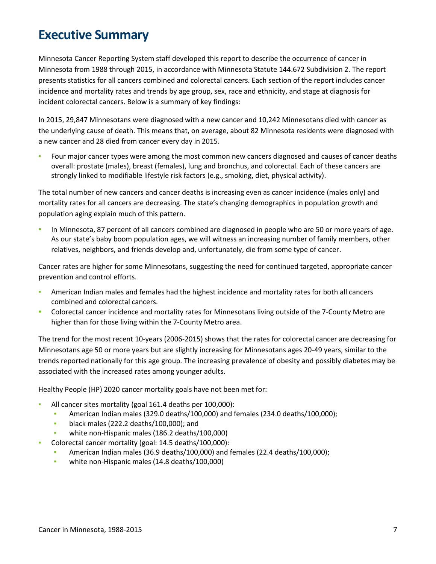# <span id="page-6-0"></span>**Executive Summary**

Minnesota Cancer Reporting System staff developed this report to describe the occurrence of cancer in Minnesota from 1988 through 2015, in accordance with Minnesota Statute 144.672 Subdivision 2. The report presents statistics for all cancers combined and colorectal cancers. Each section of the report includes cancer incidence and mortality rates and trends by age group, sex, race and ethnicity, and stage at diagnosis for incident colorectal cancers. Below is a summary of key findings:

In 2015, 29,847 Minnesotans were diagnosed with a new cancer and 10,242 Minnesotans died with cancer as the underlying cause of death. This means that, on average, about 82 Minnesota residents were diagnosed with a new cancer and 28 died from cancer every day in 2015.

Four major cancer types were among the most common new cancers diagnosed and causes of cancer deaths overall: prostate (males), breast (females), lung and bronchus, and colorectal. Each of these cancers are strongly linked to modifiable lifestyle risk factors (e.g., smoking, diet, physical activity).

The total number of new cancers and cancer deaths is increasing even as cancer incidence (males only) and mortality rates for all cancers are decreasing. The state's changing demographics in population growth and population aging explain much of this pattern.

In Minnesota, 87 percent of all cancers combined are diagnosed in people who are 50 or more years of age. As our state's baby boom population ages, we will witness an increasing number of family members, other relatives, neighbors, and friends develop and, unfortunately, die from some type of cancer.

Cancer rates are higher for some Minnesotans, suggesting the need for continued targeted, appropriate cancer prevention and control efforts.

- American Indian males and females had the highest incidence and mortality rates for both all cancers combined and colorectal cancers.
- Colorectal cancer incidence and mortality rates for Minnesotans living outside of the 7-County Metro are higher than for those living within the 7-County Metro area.

The trend for the most recent 10-years (2006-2015) shows that the rates for colorectal cancer are decreasing for Minnesotans age 50 or more years but are slightly increasing for Minnesotans ages 20-49 years, similar to the trends reported nationally for this age group. The increasing prevalence of obesity and possibly diabetes may be associated with the increased rates among younger adults.

Healthy People (HP) 2020 cancer mortality goals have not been met for:

- All cancer sites mortality (goal 161.4 deaths per 100,000):
	- American Indian males (329.0 deaths/100,000) and females (234.0 deaths/100,000);
	- **•** black males (222.2 deaths/100,000); and
	- white non-Hispanic males (186.2 deaths/100,000)
- Colorectal cancer mortality (goal: 14.5 deaths/100,000):
	- American Indian males (36.9 deaths/100,000) and females (22.4 deaths/100,000);
	- white non-Hispanic males (14.8 deaths/100,000)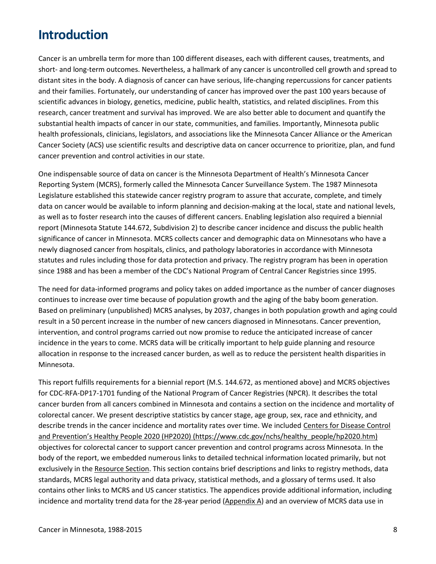# <span id="page-7-0"></span>**Introduction**

Cancer is an umbrella term for more than 100 different diseases, each with different causes, treatments, and short- and long-term outcomes. Nevertheless, a hallmark of any cancer is uncontrolled cell growth and spread to distant sites in the body. A diagnosis of cancer can have serious, life-changing repercussions for cancer patients and their families. Fortunately, our understanding of cancer has improved over the past 100 years because of scientific advances in biology, genetics, medicine, public health, statistics, and related disciplines. From this research, cancer treatment and survival has improved. We are also better able to document and quantify the substantial health impacts of cancer in our state, communities, and families. Importantly, Minnesota public health professionals, clinicians, legislators, and associations like the Minnesota Cancer Alliance or the American Cancer Society (ACS) use scientific results and descriptive data on cancer occurrence to prioritize, plan, and fund cancer prevention and control activities in our state.

One indispensable source of data on cancer is the Minnesota Department of Health's Minnesota Cancer Reporting System (MCRS), formerly called the Minnesota Cancer Surveillance System. The 1987 Minnesota Legislature established this statewide cancer registry program to assure that accurate, complete, and timely data on cancer would be available to inform planning and decision-making at the local, state and national levels, as well as to foster research into the causes of different cancers. Enabling legislation also required a biennial report (Minnesota Statute 144.672, Subdivision 2) to describe cancer incidence and discuss the public health significance of cancer in Minnesota. MCRS collects cancer and demographic data on Minnesotans who have a newly diagnosed cancer from hospitals, clinics, and pathology laboratories in accordance with Minnesota statutes and rules including those for data protection and privacy. The registry program has been in operation since 1988 and has been a member of the CDC's National Program of Central Cancer Registries since 1995.

The need for data-informed programs and policy takes on added importance as the number of cancer diagnoses continues to increase over time because of population growth and the aging of the baby boom generation. Based on preliminary (unpublished) MCRS analyses, by 2037, changes in both population growth and aging could result in a 50 percent increase in the number of new cancers diagnosed in Minnesotans. Cancer prevention, intervention, and control programs carried out now promise to reduce the anticipated increase of cancer incidence in the years to come. MCRS data will be critically important to help guide planning and resource allocation in response to the increased cancer burden, as well as to reduce the persistent health disparities in Minnesota.

This report fulfills requirements for a biennial report (M.S. 144.672, as mentioned above) and MCRS objectives for CDC-RFA-DP17-1701 funding of the National Program of Cancer Registries (NPCR). It describes the total cancer burden from all cancers combined in Minnesota and contains a section on the incidence and mortality of colorectal cancer. We present descriptive statistics by cancer stage, age group, sex, race and ethnicity, and describe trends in the cancer incidence and mortality rates over time. We included Centers for Disease Control [and Prevention's Healthy People 2020 \(HP2020\) \(https://www.cdc.gov/nchs/healthy\\_people/hp2020.htm\)](https://www.cdc.gov/nchs/healthy_people/hp2020.htm) objectives for colorectal cancer to support cancer prevention and control programs across Minnesota. In the body of the report, we embedded numerous links to detailed technical information located primarily, but not exclusively in th[e Resource Section.](#page-39-0) This section contains brief descriptions and links to registry methods, data standards, MCRS legal authority and data privacy, statistical methods, and a glossary of terms used. It also contains other links to MCRS and US cancer statistics. The appendices provide additional information, including incidence and mortality trend data for the 28-year period [\(Appendix A\)](#page-45-0) and an overview of MCRS data use in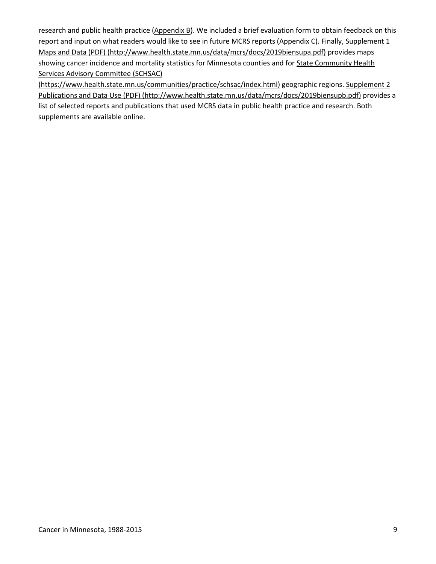research and public health practice [\(Appendix B\)](#page-49-0). We included a brief evaluation form to obtain feedback on this report and input on what readers would like to see in future MCRS reports [\(Appendix C\)](#page-50-0). Finally, Supplement 1 [Maps and Data \(PDF\) \(http://www.health.state.mn.us/data/mcrs/docs/2019biensupa.pdf\)](http://www.health.state.mn.us/data/mcrs/docs/2019biensupa.pdf) provides maps showing cancer incidence and mortality statistics for Minnesota counties and fo[r State Community Health](https://www.health.state.mn.us/communities/practice/schsac/index.html)  [Services Advisory Committee \(SCHSAC\)](https://www.health.state.mn.us/communities/practice/schsac/index.html) 

[\(https://www.health.state.mn.us/communities/practice/schsac/index.html\)](https://www.health.state.mn.us/communities/practice/schsac/index.html) geographic regions. [Supplement 2](http://www.health.state.mn.us/data/mcrs/docs/2019biensupb.pdf)  [Publications and Data Use \(PDF\) \(http://www.health.state.mn.us/data/mcrs/docs/2019biensupb.pdf\)](http://www.health.state.mn.us/data/mcrs/docs/2019biensupb.pdf) provides a list of selected reports and publications that used MCRS data in public health practice and research. Both supplements are available online.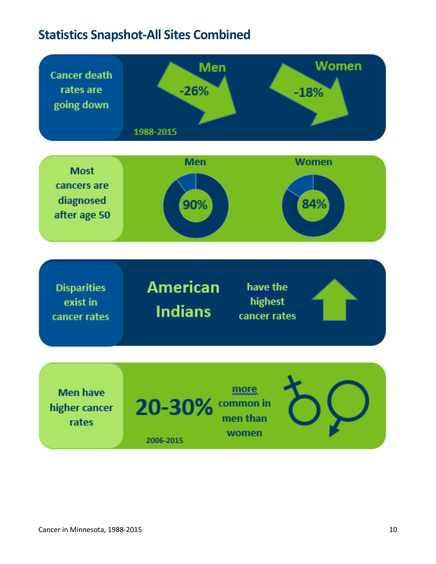# <span id="page-9-0"></span>**Statistics Snapshot-All Sites Combined**

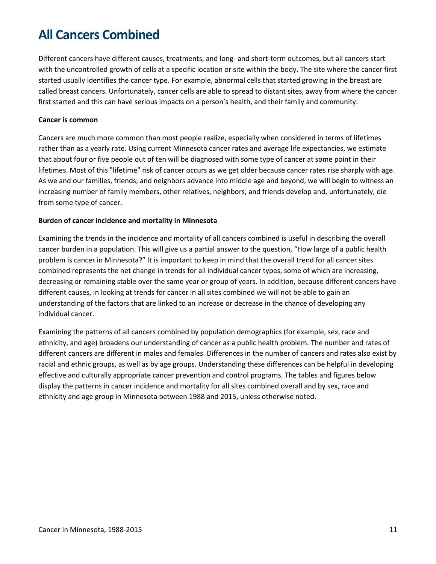# <span id="page-10-0"></span>**All Cancers Combined**

Different cancers have different causes, treatments, and long- and short-term outcomes, but all cancers start with the uncontrolled growth of cells at a specific location or site within the body. The site where the cancer first started usually identifies the cancer type. For example, abnormal cells that started growing in the breast are called breast cancers. Unfortunately, cancer cells are able to spread to distant sites, away from where the cancer first started and this can have serious impacts on a person's health, and their family and community.

#### **Cancer is common**

Cancers are much more common than most people realize, especially when considered in terms of lifetimes rather than as a yearly rate. Using current Minnesota cancer rates and average life expectancies, we estimate that about four or five people out of ten will be diagnosed with some type of cancer at some point in their lifetimes. Most of this "lifetime" risk of cancer occurs as we get older because cancer rates rise sharply with age. As we and our families, friends, and neighbors advance into middle age and beyond, we will begin to witness an increasing number of family members, other relatives, neighbors, and friends develop and, unfortunately, die from some type of cancer.

#### **Burden of cancer incidence and mortality in Minnesota**

Examining the trends in the incidence and mortality of all cancers combined is useful in describing the overall cancer burden in a population. This will give us a partial answer to the question, "How large of a public health problem is cancer in Minnesota?" It is important to keep in mind that the overall trend for all cancer sites combined represents the net change in trends for all individual cancer types, some of which are increasing, decreasing or remaining stable over the same year or group of years. In addition, because different cancers have different causes, in looking at trends for cancer in all sites combined we will not be able to gain an understanding of the factors that are linked to an increase or decrease in the chance of developing any individual cancer.

Examining the patterns of all cancers combined by population demographics (for example, sex, race and ethnicity, and age) broadens our understanding of cancer as a public health problem. The number and rates of different cancers are different in males and females. Differences in the number of cancers and rates also exist by racial and ethnic groups, as well as by age groups. Understanding these differences can be helpful in developing effective and culturally appropriate cancer prevention and control programs. The tables and figures below display the patterns in cancer incidence and mortality for all sites combined overall and by sex, race and ethnicity and age group in Minnesota between 1988 and 2015, unless otherwise noted.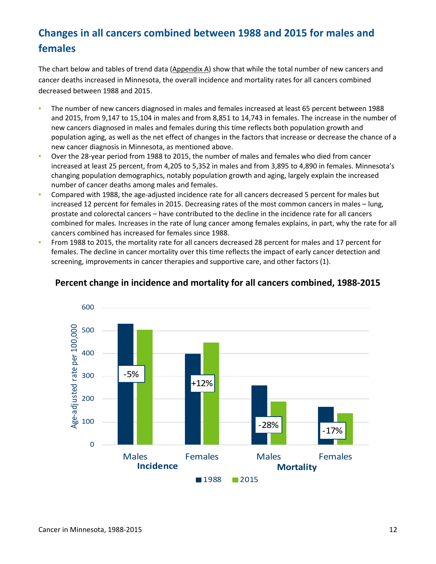# <span id="page-11-0"></span>**Changes in all cancers combined between 1988 and 2015 for males and females**

The chart below and tables of trend data [\(Appendix A\)](#page-45-0) show that while the total number of new cancers and cancer deaths increased in Minnesota, the overall incidence and mortality rates for all cancers combined decreased between 1988 and 2015.

- **EXEDM** The number of new cancers diagnosed in males and females increased at least 65 percent between 1988 and 2015, from 9,147 to 15,104 in males and from 8,851 to 14,743 in females. The increase in the number of new cancers diagnosed in males and females during this time reflects both population growth and population aging, as well as the net effect of changes in the factors that increase or decrease the chance of a new cancer diagnosis in Minnesota, as mentioned above.
- Over the 28-year period from 1988 to 2015, the number of males and females who died from cancer increased at least 25 percent, from 4,205 to 5,352 in males and from 3,895 to 4,890 in females. Minnesota's changing population demographics, notably population growth and aging, largely explain the increased number of cancer deaths among males and females.
- Compared with 1988, the age-adjusted incidence rate for all cancers decreased 5 percent for males but increased 12 percent for females in 2015. Decreasing rates of the most common cancers in males – lung, prostate and colorectal cancers – have contributed to the decline in the incidence rate for all cancers combined for males. Increases in the rate of lung cancer among females explains, in part, why the rate for all cancers combined has increased for females since 1988.
- From 1988 to 2015, the mortality rate for all cancers decreased 28 percent for males and 17 percent for females. The decline in cancer mortality over this time reflects the impact of early cancer detection and screening, improvements in cancer therapies and supportive care, and other factors (1).



### **Percent change in incidence and mortality for all cancers combined, 1988-2015**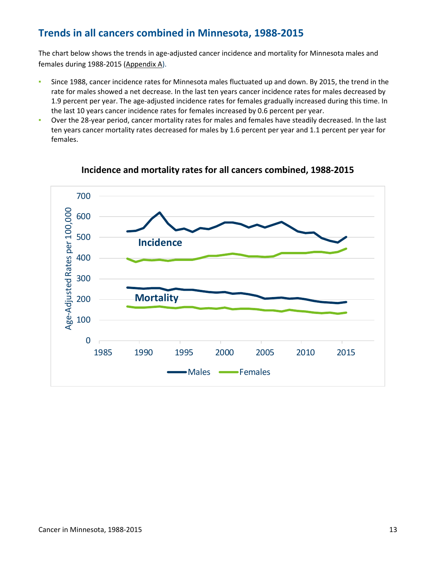## <span id="page-12-0"></span>**Trends in all cancers combined in Minnesota, 1988-2015**

The chart below shows the trends in age-adjusted cancer incidence and mortality for Minnesota males and females during 1988-2015 [\(Appendix A\)](#page-45-0).

- **EXEDENT Since 1988, cancer incidence rates for Minnesota males fluctuated up and down. By 2015, the trend in the** rate for males showed a net decrease. In the last ten years cancer incidence rates for males decreased by 1.9 percent per year. The age-adjusted incidence rates for females gradually increased during this time. In the last 10 years cancer incidence rates for females increased by 0.6 percent per year.
- Over the 28-year period, cancer mortality rates for males and females have steadily decreased. In the last ten years cancer mortality rates decreased for males by 1.6 percent per year and 1.1 percent per year for females.



### **Incidence and mortality rates for all cancers combined, 1988-2015**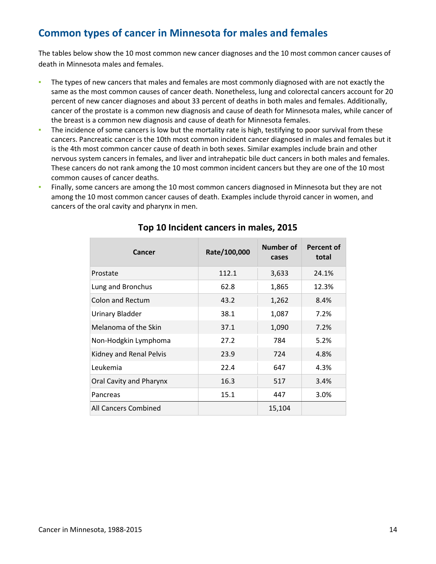## <span id="page-13-0"></span>**Common types of cancer in Minnesota for males and females**

The tables below show the 10 most common new cancer diagnoses and the 10 most common cancer causes of death in Minnesota males and females.

- The types of new cancers that males and females are most commonly diagnosed with are not exactly the same as the most common causes of cancer death. Nonetheless, lung and colorectal cancers account for 20 percent of new cancer diagnoses and about 33 percent of deaths in both males and females. Additionally, cancer of the prostate is a common new diagnosis and cause of death for Minnesota males, while cancer of the breast is a common new diagnosis and cause of death for Minnesota females.
- The incidence of some cancers is low but the mortality rate is high, testifying to poor survival from these cancers. Pancreatic cancer is the 10th most common incident cancer diagnosed in males and females but it is the 4th most common cancer cause of death in both sexes. Similar examples include brain and other nervous system cancers in females, and liver and intrahepatic bile duct cancers in both males and females. These cancers do not rank among the 10 most common incident cancers but they are one of the 10 most common causes of cancer deaths.
- Finally, some cancers are among the 10 most common cancers diagnosed in Minnesota but they are not among the 10 most common cancer causes of death. Examples include thyroid cancer in women, and cancers of the oral cavity and pharynx in men.

| Cancer                  | Rate/100,000 | Number of<br>cases | <b>Percent of</b><br>total |
|-------------------------|--------------|--------------------|----------------------------|
| Prostate                | 112.1        | 3,633              | 24.1%                      |
| Lung and Bronchus       | 62.8         | 1,865              | 12.3%                      |
| Colon and Rectum        | 43.2         | 1,262              | 8.4%                       |
| Urinary Bladder         | 38.1         | 1,087              | 7.2%                       |
| Melanoma of the Skin    | 37.1         | 1,090              | 7.2%                       |
| Non-Hodgkin Lymphoma    | 27.2         | 784                | 5.2%                       |
| Kidney and Renal Pelvis | 23.9         | 724                | 4.8%                       |
| Leukemia                | 22.4         | 647                | 4.3%                       |
| Oral Cavity and Pharynx | 16.3         | 517                | 3.4%                       |
| Pancreas                | 15.1         | 447                | 3.0%                       |
| All Cancers Combined    |              | 15,104             |                            |

### **Top 10 Incident cancers in males, 2015**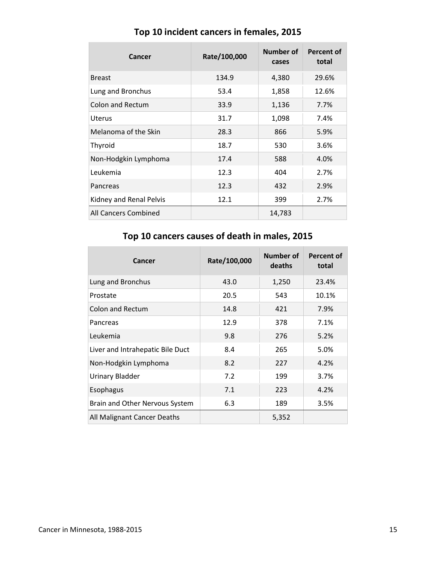| Cancer                  | Rate/100,000 | Number of<br>cases | <b>Percent of</b><br>total |
|-------------------------|--------------|--------------------|----------------------------|
| <b>Breast</b>           | 134.9        | 4,380              | 29.6%                      |
| Lung and Bronchus       | 53.4         | 1,858              | 12.6%                      |
| <b>Colon and Rectum</b> | 33.9         | 1,136              | 7.7%                       |
| Uterus                  | 31.7         | 1,098              | 7.4%                       |
| Melanoma of the Skin    | 28.3         | 866                | 5.9%                       |
| Thyroid                 | 18.7         | 530                | 3.6%                       |
| Non-Hodgkin Lymphoma    | 17.4         | 588                | 4.0%                       |
| Leukemia                | 12.3         | 404                | 2.7%                       |
| Pancreas                | 12.3         | 432                | 2.9%                       |
| Kidney and Renal Pelvis | 12.1         | 399                | 2.7%                       |
| All Cancers Combined    |              | 14,783             |                            |

## **Top 10 incident cancers in females, 2015**

## **Top 10 cancers causes of death in males, 2015**

| Cancer                           | Rate/100,000 | Number of<br>deaths | Percent of<br>total |
|----------------------------------|--------------|---------------------|---------------------|
| Lung and Bronchus                | 43.0         | 1,250               | 23.4%               |
| Prostate                         | 20.5         | 543                 | 10.1%               |
| <b>Colon and Rectum</b>          | 14.8         | 421                 | 7.9%                |
| Pancreas                         | 12.9         | 378                 | 7.1%                |
| Leukemia                         | 9.8          | 276                 | 5.2%                |
| Liver and Intrahepatic Bile Duct | 8.4          | 265                 | 5.0%                |
| Non-Hodgkin Lymphoma             | 8.2          | 227                 | 4.2%                |
| Urinary Bladder                  | 7.2          | 199                 | 3.7%                |
| Esophagus                        | 7.1          | 223                 | 4.2%                |
| Brain and Other Nervous System   | 6.3          | 189                 | 3.5%                |
| All Malignant Cancer Deaths      |              | 5,352               |                     |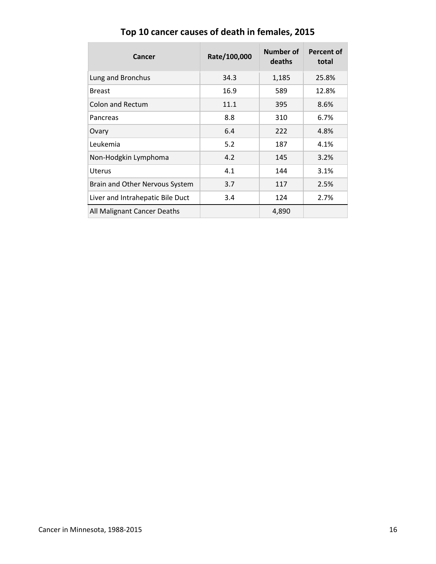| Cancer                           | Rate/100,000 | Number of<br>deaths | Percent of<br>total |
|----------------------------------|--------------|---------------------|---------------------|
| Lung and Bronchus                | 34.3         | 1,185               | 25.8%               |
| <b>Breast</b>                    | 16.9         | 589                 | 12.8%               |
| <b>Colon and Rectum</b>          | 11.1         | 395                 | 8.6%                |
| Pancreas                         | 8.8          | 310                 | 6.7%                |
| Ovary                            | 6.4          | 222                 | 4.8%                |
| Leukemia                         | 5.2          | 187                 | 4.1%                |
| Non-Hodgkin Lymphoma             | 4.2          | 145                 | 3.2%                |
| <b>Uterus</b>                    | 4.1          | 144                 | 3.1%                |
| Brain and Other Nervous System   | 3.7          | 117                 | 2.5%                |
| Liver and Intrahepatic Bile Duct | 3.4          | 124                 | 2.7%                |
| All Malignant Cancer Deaths      |              | 4,890               |                     |

# **Top 10 cancer causes of death in females, 2015**

r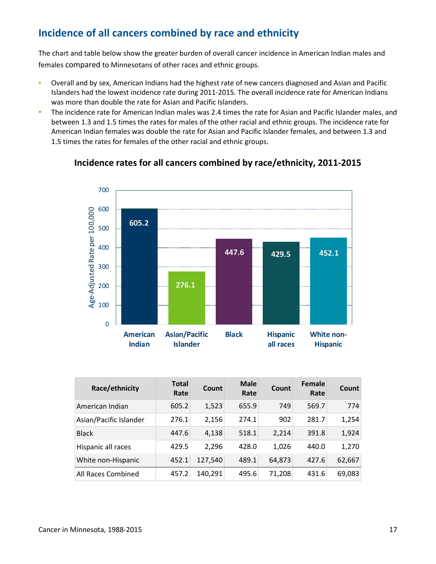## <span id="page-16-0"></span>**Incidence of all cancers combined by race and ethnicity**

The chart and table below show the greater burden of overall cancer incidence in American Indian males and females compared to Minnesotans of other races and ethnic groups.

- Overall and by sex, American Indians had the highest rate of new cancers diagnosed and Asian and Pacific Islanders had the lowest incidence rate during 2011-2015. The overall incidence rate for American Indians was more than double the rate for Asian and Pacific Islanders.
- **•** The incidence rate for American Indian males was 2.4 times the rate for Asian and Pacific Islander males, and between 1.3 and 1.5 times the rates for males of the other racial and ethnic groups. The incidence rate for American Indian females was double the rate for Asian and Pacific Islander females, and between 1.3 and 1.5 times the rates for females of the other racial and ethnic groups.



### **Incidence rates for all cancers combined by race/ethnicity, 2011-2015**

| Race/ethnicity         | <b>Total</b><br>Rate | Count   | <b>Male</b><br>Rate | Count  | Female<br>Rate | <b>Count</b> |
|------------------------|----------------------|---------|---------------------|--------|----------------|--------------|
| American Indian        | 605.2                | 1,523   | 655.9               | 749    | 569.7          | 774          |
| Asian/Pacific Islander | 276.1                | 2,156   | 274.1               | 902    | 281.7          | 1,254        |
| <b>Black</b>           | 447.6                | 4,138   | 518.1               | 2,214  | 391.8          | 1,924        |
| Hispanic all races     | 429.5                | 2,296   | 428.0               | 1,026  | 440.0          | 1,270        |
| White non-Hispanic     | 452.1                | 127,540 | 489.1               | 64,873 | 427.6          | 62,667       |
| All Races Combined     | 457.2                | 140,291 | 495.6               | 71,208 | 431.6          | 69,083       |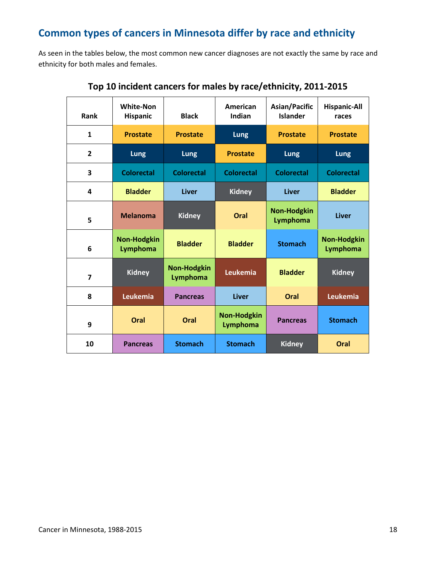## <span id="page-17-0"></span>**Common types of cancers in Minnesota differ by race and ethnicity**

As seen in the tables below, the most common new cancer diagnoses are not exactly the same by race and ethnicity for both males and females.

| <b>Rank</b>             | <b>White-Non</b><br><b>Hispanic</b> | <b>Black</b>                   | American<br>Indian             | Asian/Pacific<br><b>Islander</b> | <b>Hispanic-All</b><br>races          |
|-------------------------|-------------------------------------|--------------------------------|--------------------------------|----------------------------------|---------------------------------------|
| $\mathbf{1}$            | <b>Prostate</b>                     | <b>Prostate</b>                | <b>Lung</b>                    | <b>Prostate</b>                  | <b>Prostate</b>                       |
| $\overline{2}$          | Lung                                | Lung                           | <b>Prostate</b>                | Lung                             | <b>Lung</b>                           |
| 3                       | <b>Colorectal</b>                   | <b>Colorectal</b>              | <b>Colorectal</b>              | <b>Colorectal</b>                | <b>Colorectal</b>                     |
| 4                       | <b>Bladder</b>                      | Liver                          | <b>Kidney</b>                  | Liver                            | <b>Bladder</b>                        |
| 5                       | <b>Melanoma</b>                     | <b>Kidney</b>                  | Oral                           | <b>Non-Hodgkin</b><br>Lymphoma   | <b>Liver</b>                          |
| 6                       | <b>Non-Hodgkin</b><br>Lymphoma      | <b>Bladder</b>                 | <b>Bladder</b>                 | <b>Stomach</b>                   | <b>Non-Hodgkin</b><br><b>Lymphoma</b> |
| $\overline{\mathbf{z}}$ | <b>Kidney</b>                       | <b>Non-Hodgkin</b><br>Lymphoma | Leukemia                       | <b>Bladder</b>                   | <b>Kidney</b>                         |
| 8                       | Leukemia                            | <b>Pancreas</b>                | <b>Liver</b>                   | Oral                             | Leukemia                              |
| 9                       | Oral                                | Oral                           | <b>Non-Hodgkin</b><br>Lymphoma | <b>Pancreas</b>                  | <b>Stomach</b>                        |
| 10                      | <b>Pancreas</b>                     | <b>Stomach</b>                 | <b>Stomach</b>                 | <b>Kidney</b>                    | Oral                                  |

### **Top 10 incident cancers for males by race/ethnicity, 2011-2015**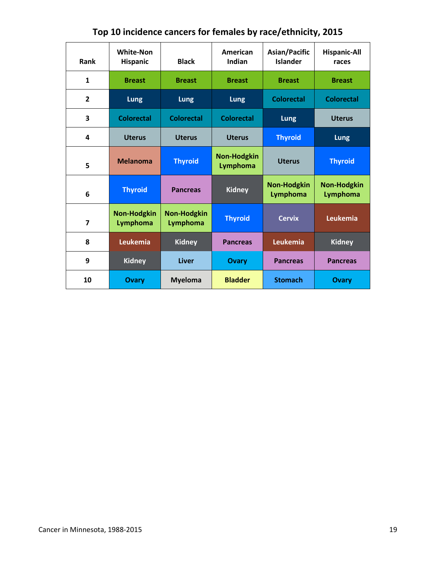| Rank                    | <b>White-Non</b><br><b>Hispanic</b> | <b>Black</b>                   | American<br>Indian             | Asian/Pacific<br><b>Islander</b> | <b>Hispanic-All</b><br>races   |
|-------------------------|-------------------------------------|--------------------------------|--------------------------------|----------------------------------|--------------------------------|
| $\mathbf{1}$            | <b>Breast</b>                       | <b>Breast</b>                  | <b>Breast</b>                  | <b>Breast</b>                    | <b>Breast</b>                  |
| $\overline{2}$          | Lung                                | <b>Lung</b>                    | Lung                           | <b>Colorectal</b>                | <b>Colorectal</b>              |
| 3                       | <b>Colorectal</b>                   | <b>Colorectal</b>              | <b>Colorectal</b>              | <b>Lung</b>                      | <b>Uterus</b>                  |
| 4                       | <b>Uterus</b>                       | <b>Uterus</b>                  | <b>Uterus</b>                  | <b>Thyroid</b>                   | Lung                           |
| 5                       | <b>Melanoma</b>                     | <b>Thyroid</b>                 | <b>Non-Hodgkin</b><br>Lymphoma | <b>Uterus</b>                    | <b>Thyroid</b>                 |
| 6                       | <b>Thyroid</b>                      | <b>Pancreas</b>                | <b>Kidney</b>                  | <b>Non-Hodgkin</b><br>Lymphoma   | <b>Non-Hodgkin</b><br>Lymphoma |
| $\overline{\mathbf{z}}$ | <b>Non-Hodgkin</b><br>Lymphoma      | <b>Non-Hodgkin</b><br>Lymphoma | <b>Thyroid</b>                 | <b>Cervix</b>                    | Leukemia                       |
| 8                       | <b>Leukemia</b>                     | <b>Kidney</b>                  | <b>Pancreas</b>                | Leukemia                         | <b>Kidney</b>                  |
| 9                       | <b>Kidney</b>                       | Liver                          | <b>Ovary</b>                   | <b>Pancreas</b>                  | <b>Pancreas</b>                |
| 10                      | <b>Ovary</b>                        | <b>Myeloma</b>                 | <b>Bladder</b>                 | <b>Stomach</b>                   | <b>Ovary</b>                   |

# **Top 10 incidence cancers for females by race/ethnicity, 2015**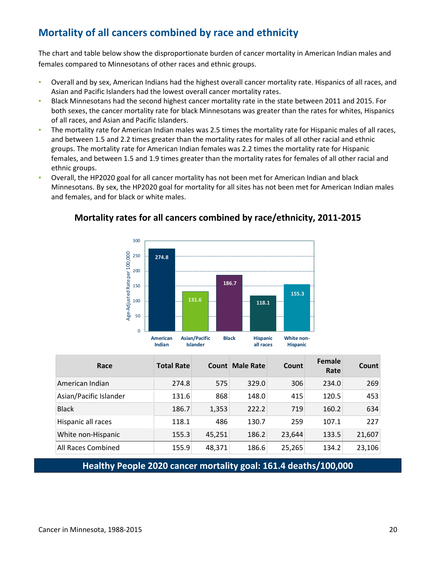# <span id="page-19-0"></span>**Mortality of all cancers combined by race and ethnicity**

The chart and table below show the disproportionate burden of cancer mortality in American Indian males and females compared to Minnesotans of other races and ethnic groups.

- Overall and by sex, American Indians had the highest overall cancer mortality rate. Hispanics of all races, and Asian and Pacific Islanders had the lowest overall cancer mortality rates.
- Black Minnesotans had the second highest cancer mortality rate in the state between 2011 and 2015. For both sexes, the cancer mortality rate for black Minnesotans was greater than the rates for whites, Hispanics of all races, and Asian and Pacific Islanders.
- The mortality rate for American Indian males was 2.5 times the mortality rate for Hispanic males of all races, and between 1.5 and 2.2 times greater than the mortality rates for males of all other racial and ethnic groups. The mortality rate for American Indian females was 2.2 times the mortality rate for Hispanic females, and between 1.5 and 1.9 times greater than the mortality rates for females of all other racial and ethnic groups.
- Overall, the HP2020 goal for all cancer mortality has not been met for American Indian and black Minnesotans. By sex, the HP2020 goal for mortality for all sites has not been met for American Indian males and females, and for black or white males.



### **Mortality rates for all cancers combined by race/ethnicity, 2011-2015**

| Race                   | <b>Total Rate</b> | <b>Count</b> | <b>Male Rate</b> | Count  | <b>Female</b><br>Rate | <b>Count</b> |
|------------------------|-------------------|--------------|------------------|--------|-----------------------|--------------|
| American Indian        | 274.8             | 575          | 329.0            | 306    | 234.0                 | 269          |
| Asian/Pacific Islander | 131.6             | 868          | 148.0            | 415    | 120.5                 | 453          |
| <b>Black</b>           | 186.7             | 1,353        | 222.2            | 719    | 160.2                 | 634          |
| Hispanic all races     | 118.1             | 486          | 130.7            | 259    | 107.1                 | 227          |
| White non-Hispanic     | 155.3             | 45,251       | 186.2            | 23,644 | 133.5                 | 21,607       |
| All Races Combined     | 155.9             | 48,371       | 186.6            | 25,265 | 134.2                 | 23,106       |

**Healthy People 2020 cancer mortality goal: 161.4 deaths/100,000**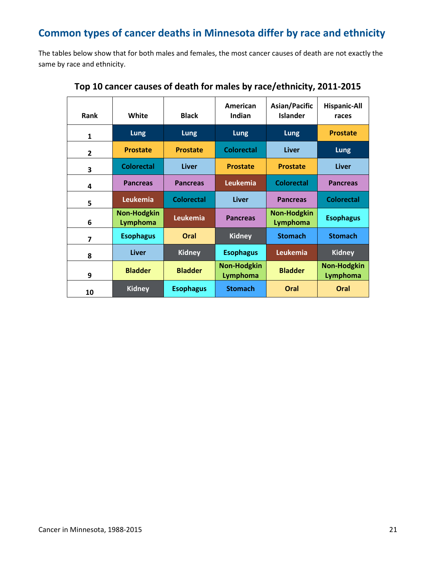# <span id="page-20-0"></span>**Common types of cancer deaths in Minnesota differ by race and ethnicity**

The tables below show that for both males and females, the most cancer causes of death are not exactly the same by race and ethnicity.

| Rank           | White                          | <b>Black</b>      | American<br>Indian             | Asian/Pacific<br><b>Islander</b> | <b>Hispanic-All</b><br>races   |
|----------------|--------------------------------|-------------------|--------------------------------|----------------------------------|--------------------------------|
| $\mathbf{1}$   | <b>Lung</b>                    | Lung              | <b>Lung</b>                    | <b>Lung</b>                      | <b>Prostate</b>                |
| $\overline{2}$ | <b>Prostate</b>                | <b>Prostate</b>   | <b>Colorectal</b>              | <b>Liver</b>                     | Lung                           |
| 3              | <b>Colorectal</b>              | <b>Liver</b>      | <b>Prostate</b>                | <b>Prostate</b>                  | <b>Liver</b>                   |
| 4              | <b>Pancreas</b>                | <b>Pancreas</b>   | Leukemia                       | <b>Colorectal</b>                | <b>Pancreas</b>                |
| 5              | Leukemia                       | <b>Colorectal</b> | <b>Liver</b>                   | <b>Pancreas</b>                  | <b>Colorectal</b>              |
| 6              | <b>Non-Hodgkin</b><br>Lymphoma | Leukemia          | <b>Pancreas</b>                | <b>Non-Hodgkin</b><br>Lymphoma   | <b>Esophagus</b>               |
| 7              | <b>Esophagus</b>               | Oral              | <b>Kidney</b>                  | <b>Stomach</b>                   | <b>Stomach</b>                 |
| 8              | <b>Liver</b>                   | <b>Kidney</b>     | <b>Esophagus</b>               | Leukemia                         | <b>Kidney</b>                  |
| 9              | <b>Bladder</b>                 | <b>Bladder</b>    | <b>Non-Hodgkin</b><br>Lymphoma | <b>Bladder</b>                   | <b>Non-Hodgkin</b><br>Lymphoma |
| 10             | <b>Kidney</b>                  | <b>Esophagus</b>  | <b>Stomach</b>                 | Oral                             | Oral                           |

**Top 10 cancer causes of death for males by race/ethnicity, 2011-2015**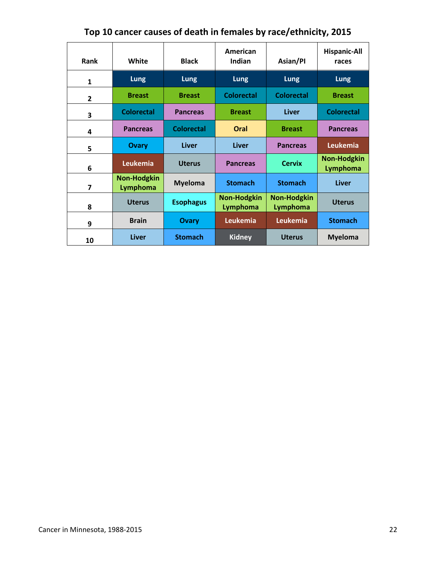| <b>Rank</b>    | White                          | <b>Black</b>      | American<br>Indian             | Asian/PI                       | <b>Hispanic-All</b><br>races   |
|----------------|--------------------------------|-------------------|--------------------------------|--------------------------------|--------------------------------|
| $\mathbf{1}$   | <b>Lung</b>                    | Lung              | <b>Lung</b>                    | <b>Lung</b>                    | Lung                           |
| $\overline{2}$ | <b>Breast</b>                  | <b>Breast</b>     | <b>Colorectal</b>              | <b>Colorectal</b>              | <b>Breast</b>                  |
| 3              | <b>Colorectal</b>              | <b>Pancreas</b>   | <b>Breast</b>                  | <b>Liver</b>                   | <b>Colorectal</b>              |
| 4              | <b>Pancreas</b>                | <b>Colorectal</b> | Oral                           | <b>Breast</b>                  | <b>Pancreas</b>                |
| 5              | <b>Ovary</b>                   | Liver             | <b>Liver</b>                   | <b>Pancreas</b>                | Leukemia                       |
| 6              | Leukemia                       | <b>Uterus</b>     | <b>Pancreas</b>                | <b>Cervix</b>                  | <b>Non-Hodgkin</b><br>Lymphoma |
| $\overline{7}$ | <b>Non-Hodgkin</b><br>Lymphoma | <b>Myeloma</b>    | <b>Stomach</b>                 | <b>Stomach</b>                 | Liver                          |
| 8              | <b>Uterus</b>                  | <b>Esophagus</b>  | <b>Non-Hodgkin</b><br>Lymphoma | <b>Non-Hodgkin</b><br>Lymphoma | <b>Uterus</b>                  |
| 9              | <b>Brain</b>                   | Ovary             | Leukemia                       | Leukemia                       | <b>Stomach</b>                 |
| 10             | <b>Liver</b>                   | <b>Stomach</b>    | <b>Kidney</b>                  | <b>Uterus</b>                  | <b>Myeloma</b>                 |

**Top 10 cancer causes of death in females by race/ethnicity, 2015**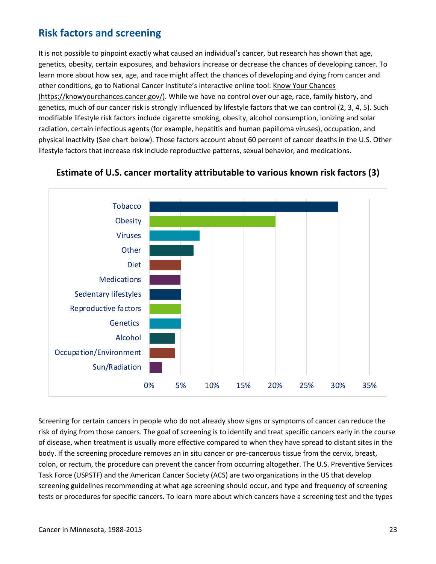## <span id="page-22-0"></span>**Risk factors and screening**

It is not possible to pinpoint exactly what caused an individual's cancer, but research has shown that age, genetics, obesity, certain exposures, and behaviors increase or decrease the chances of developing cancer. To learn more about how sex, age, and race might affect the chances of developing and dying from cancer and other conditions, go to National Cancer Institute's interactive online tool: [Know Your Chances](https://knowyourchances.cancer.gov/)  [\(https://knowyourchances.cancer.gov/\).](https://knowyourchances.cancer.gov/) While we have no control over our age, race, family history, and genetics, much of our cancer risk is strongly influenced by lifestyle factors that we can control (2, 3, 4, 5). Such modifiable lifestyle risk factors include cigarette smoking, obesity, alcohol consumption, ionizing and solar radiation, certain infectious agents (for example, hepatitis and human papilloma viruses), occupation, and physical inactivity (See chart below). Those factors account about 60 percent of cancer deaths in the U.S. Other lifestyle factors that increase risk include reproductive patterns, sexual behavior, and medications.



### **Estimate of U.S. cancer mortality attributable to various known risk factors (3)**

Screening for certain cancers in people who do not already show signs or symptoms of cancer can reduce the risk of dying from those cancers. The goal of screening is to identify and treat specific cancers early in the course of disease, when treatment is usually more effective compared to when they have spread to distant sites in the body. If the screening procedure removes an in situ cancer or pre-cancerous tissue from the cervix, breast, colon, or rectum, the procedure can prevent the cancer from occurring altogether. The U.S. Preventive Services Task Force (USPSTF) and the American Cancer Society (ACS) are two organizations in the US that develop screening guidelines recommending at what age screening should occur, and type and frequency of screening tests or procedures for specific cancers. To learn more about which cancers have a screening test and the types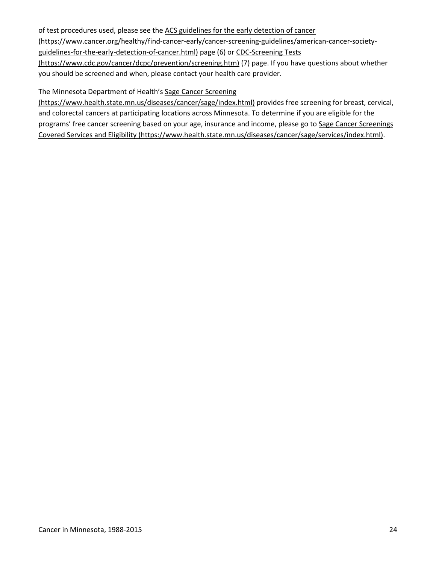#### of test procedures used, please see the ACS guidelines [for the early detection of cancer](https://www.cancer.org/healthy/find-cancer-early/cancer-screening-guidelines/american-cancer-society-guidelines-for-the-early-detection-of-cancer.html)

[\(https://www.cancer.org/healthy/find-cancer-early/cancer-screening-guidelines/american-cancer-society-](https://www.cancer.org/healthy/find-cancer-early/cancer-screening-guidelines/american-cancer-society-guidelines-for-the-early-detection-of-cancer.html)

[guidelines-for-the-early-detection-of-cancer.html\)](https://www.cancer.org/healthy/find-cancer-early/cancer-screening-guidelines/american-cancer-society-guidelines-for-the-early-detection-of-cancer.html) page (6) o[r CDC-Screening Tests](https://www.cdc.gov/cancer/dcpc/prevention/screening.htm) 

[\(https://www.cdc.gov/cancer/dcpc/prevention/screening.htm\)](https://www.cdc.gov/cancer/dcpc/prevention/screening.htm) (7) page. If you have questions about whether you should be screened and when, please contact your health care provider.

The Minnesota Department of Health'[s Sage Cancer Screening](https://www.health.state.mn.us/diseases/cancer/sage/index.html) 

[\(https://www.health.state.mn.us/diseases/cancer/sage/index.html\)](https://www.health.state.mn.us/diseases/cancer/sage/index.html) provides free screening for breast, cervical, and colorectal cancers at participating locations across Minnesota. To determine if you are eligible for the programs' free cancer screening based on your age, insurance and income, please go to Sage Cancer Screenings [Covered Services and Eligibility \(https://www.health.state.mn.us/diseases/cancer/sage/services/index.html\).](https://www.health.state.mn.us/diseases/cancer/sage/services/index.html)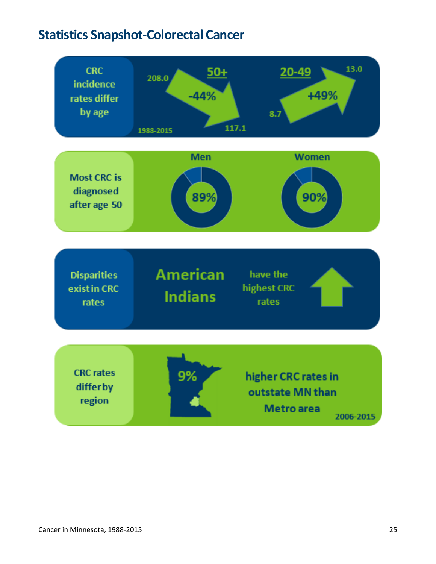# <span id="page-24-0"></span>**Statistics Snapshot-Colorectal Cancer**

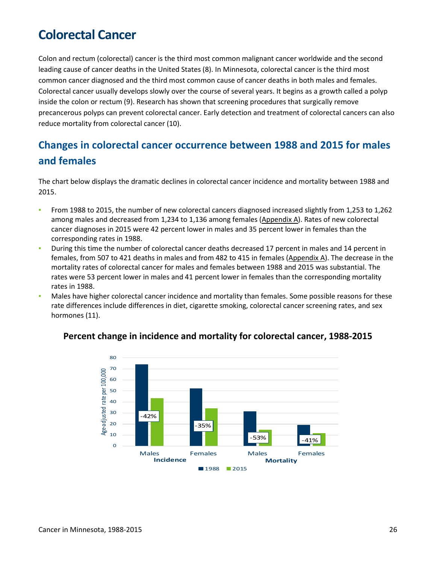# <span id="page-25-0"></span>**Colorectal Cancer**

Colon and rectum (colorectal) cancer is the third most common malignant cancer worldwide and the second leading cause of cancer deaths in the United States (8). In Minnesota, colorectal cancer is the third most common cancer diagnosed and the third most common cause of cancer deaths in both males and females. Colorectal cancer usually develops slowly over the course of several years. It begins as a growth called a polyp inside the colon or rectum (9). Research has shown that screening procedures that surgically remove precancerous polyps can prevent colorectal cancer. Early detection and treatment of colorectal cancers can also reduce mortality from colorectal cancer (10).

# <span id="page-25-1"></span>**Changes in colorectal cancer occurrence between 1988 and 2015 for males and females**

The chart below displays the dramatic declines in colorectal cancer incidence and mortality between 1988 and 2015.

- From 1988 to 2015, the number of new colorectal cancers diagnosed increased slightly from 1,253 to 1,262 among males and decreased from 1,234 to 1,136 among females [\(Appendix A\)](#page-45-0). Rates of new colorectal cancer diagnoses in 2015 were 42 percent lower in males and 35 percent lower in females than the corresponding rates in 1988.
- **•** During this time the number of colorectal cancer deaths decreased 17 percent in males and 14 percent in females, from 507 to 421 deaths in males and from 482 to 415 in females [\(Appendix A\)](#page-45-0). The decrease in the mortality rates of colorectal cancer for males and females between 1988 and 2015 was substantial. The rates were 53 percent lower in males and 41 percent lower in females than the corresponding mortality rates in 1988.
- Males have higher colorectal cancer incidence and mortality than females. Some possible reasons for these rate differences include differences in diet, cigarette smoking, colorectal cancer screening rates, and sex hormones (11).



### **Percent change in incidence and mortality for colorectal cancer, 1988-2015**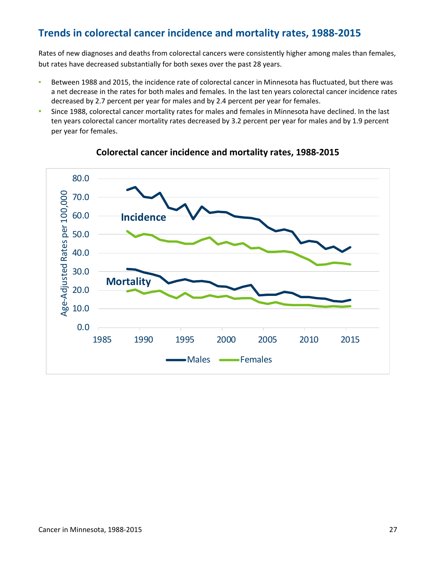## <span id="page-26-0"></span>**Trends in colorectal cancer incidence and mortality rates, 1988-2015**

Rates of new diagnoses and deaths from colorectal cancers were consistently higher among males than females, but rates have decreased substantially for both sexes over the past 28 years.

- Between 1988 and 2015, the incidence rate of colorectal cancer in Minnesota has fluctuated, but there was a net decrease in the rates for both males and females. In the last ten years colorectal cancer incidence rates decreased by 2.7 percent per year for males and by 2.4 percent per year for females.
- **Since 1988, colorectal cancer mortality rates for males and females in Minnesota have declined. In the last** ten years colorectal cancer mortality rates decreased by 3.2 percent per year for males and by 1.9 percent per year for females.



### **Colorectal cancer incidence and mortality rates, 1988-2015**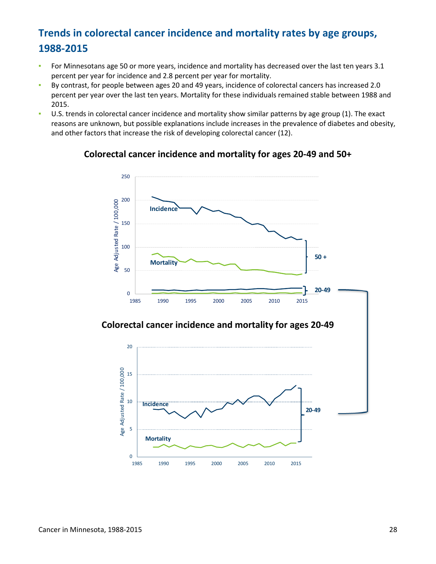# <span id="page-27-0"></span>**Trends in colorectal cancer incidence and mortality rates by age groups, 1988-2015**

- **•** For Minnesotans age 50 or more years, incidence and mortality has decreased over the last ten years 3.1 percent per year for incidence and 2.8 percent per year for mortality.
- By contrast, for people between ages 20 and 49 years, incidence of colorectal cancers has increased 2.0 percent per year over the last ten years. Mortality for these individuals remained stable between 1988 and 2015.
- U.S. trends in colorectal cancer incidence and mortality show similar patterns by age group (1). The exact reasons are unknown, but possible explanations include increases in the prevalence of diabetes and obesity, and other factors that increase the risk of developing colorectal cancer (12).

### **Colorectal cancer incidence and mortality for ages 20-49 and 50+**



### **Colorectal cancer incidence and mortality for ages 20-49**

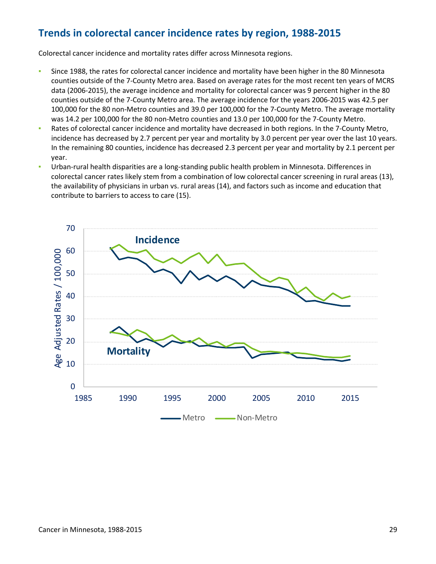## <span id="page-28-0"></span>**Trends in colorectal cancer incidence rates by region, 1988-2015**

Colorectal cancer incidence and mortality rates differ across Minnesota regions.

- Since 1988, the rates for colorectal cancer incidence and mortality have been higher in the 80 Minnesota counties outside of the 7-County Metro area. Based on average rates for the most recent ten years of MCRS data (2006-2015), the average incidence and mortality for colorectal cancer was 9 percent higher in the 80 counties outside of the 7-County Metro area. The average incidence for the years 2006-2015 was 42.5 per 100,000 for the 80 non-Metro counties and 39.0 per 100,000 for the 7-County Metro. The average mortality was 14.2 per 100,000 for the 80 non-Metro counties and 13.0 per 100,000 for the 7-County Metro.
- Rates of colorectal cancer incidence and mortality have decreased in both regions. In the 7-County Metro, incidence has decreased by 2.7 percent per year and mortality by 3.0 percent per year over the last 10 years. In the remaining 80 counties, incidence has decreased 2.3 percent per year and mortality by 2.1 percent per year.
- Urban-rural health disparities are a long-standing public health problem in Minnesota. Differences in colorectal cancer rates likely stem from a combination of low colorectal cancer screening in rural areas (13), the availability of physicians in urban vs. rural areas (14), and factors such as income and education that contribute to barriers to access to care (15).

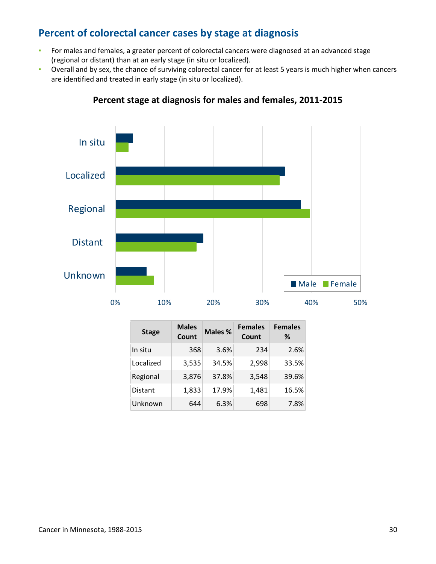## <span id="page-29-0"></span>**Percent of colorectal cancer cases by stage at diagnosis**

- **EXECT** For males and females, a greater percent of colorectal cancers were diagnosed at an advanced stage (regional or distant) than at an early stage (in situ or localized).
- Overall and by sex, the chance of surviving colorectal cancer for at least 5 years is much higher when cancers are identified and treated in early stage (in situ or localized).



### **Percent stage at diagnosis for males and females, 2011-2015**

| <b>Stage</b>   | <b>Males</b><br>Count | Males % | <b>Females</b><br>Count | <b>Females</b><br>% |
|----------------|-----------------------|---------|-------------------------|---------------------|
| In situ        | 368                   | 3.6%    | 234                     | 2.6%                |
| Localized      | 3,535                 | 34.5%   | 2,998                   | 33.5%               |
| Regional       | 3,876                 | 37.8%   | 3,548                   | 39.6%               |
| <b>Distant</b> | 1,833                 | 17.9%   | 1,481                   | 16.5%               |
| Unknown        | 644                   | 6.3%    | 698                     | 7.8%                |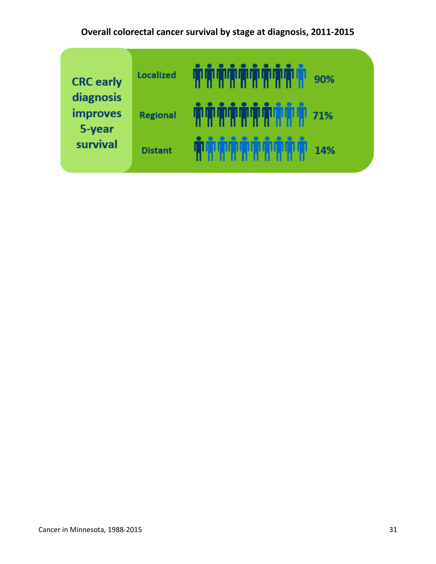# **Overall colorectal cancer survival by stage at diagnosis, 2011-2015**

| <b>CRC</b> early<br>diagnosis | <b>Localized</b> | <u>TITLIT TITLIT</u><br><b>THE BEAT</b><br>90% |
|-------------------------------|------------------|------------------------------------------------|
| <b>improves</b><br>5-year     | <b>Regional</b>  | , W., W., W., W., W., W<br>71%<br>Ш            |
| survival                      | <b>Distant</b>   | 14%                                            |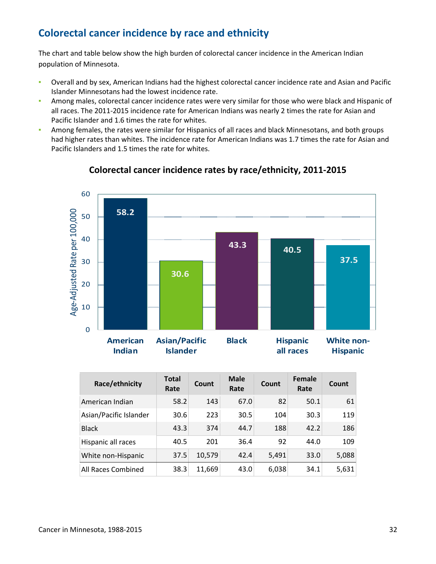# <span id="page-31-0"></span>**Colorectal cancer incidence by race and ethnicity**

The chart and table below show the high burden of colorectal cancer incidence in the American Indian population of Minnesota.

- Overall and by sex, American Indians had the highest colorectal cancer incidence rate and Asian and Pacific Islander Minnesotans had the lowest incidence rate.
- **Among males, colorectal cancer incidence rates were very similar for those who were black and Hispanic of** all races. The 2011-2015 incidence rate for American Indians was nearly 2 times the rate for Asian and Pacific Islander and 1.6 times the rate for whites.
- Among females, the rates were similar for Hispanics of all races and black Minnesotans, and both groups had higher rates than whites. The incidence rate for American Indians was 1.7 times the rate for Asian and Pacific Islanders and 1.5 times the rate for whites.



### **Colorectal cancer incidence rates by race/ethnicity, 2011-2015**

| Race/ethnicity         | <b>Total</b><br>Rate | <b>Count</b> | <b>Male</b><br>Rate | Count | <b>Female</b><br>Rate | <b>Count</b> |
|------------------------|----------------------|--------------|---------------------|-------|-----------------------|--------------|
| American Indian        | 58.2                 | 143          | 67.0                | 82    | 50.1                  | 61           |
| Asian/Pacific Islander | 30.6                 | 223          | 30.5                | 104   | 30.3                  | 119          |
| <b>Black</b>           | 43.3                 | 374          | 44.7                | 188   | 42.2                  | 186          |
| Hispanic all races     | 40.5                 | 201          | 36.4                | 92    | 44.0                  | 109          |
| White non-Hispanic     | 37.5                 | 10,579       | 42.4                | 5,491 | 33.0                  | 5,088        |
| All Races Combined     | 38.3                 | 11,669       | 43.0                | 6,038 | 34.1                  | 5,631        |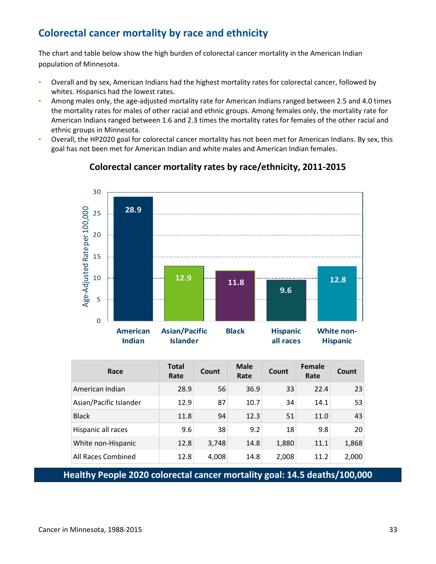# <span id="page-32-0"></span>**Colorectal cancer mortality by race and ethnicity**

The chart and table below show the high burden of colorectal cancer mortality in the American Indian population of Minnesota.

- Overall and by sex, American Indians had the highest mortality rates for colorectal cancer, followed by whites. Hispanics had the lowest rates.
- **Among males only, the age-adjusted mortality rate for American Indians ranged between 2.5 and 4.0 times** the mortality rates for males of other racial and ethnic groups. Among females only, the mortality rate for American Indians ranged between 1.6 and 2.3 times the mortality rates for females of the other racial and ethnic groups in Minnesota.
- Overall, the HP2020 goal for colorectal cancer mortality has not been met for American Indians. By sex, this goal has not been met for American Indian and white males and American Indian females.



### **Colorectal cancer mortality rates by race/ethnicity, 2011-2015**

| Race                   | <b>Total</b><br>Rate | Count | <b>Male</b><br>Rate | Count | Female<br>Rate | Count |
|------------------------|----------------------|-------|---------------------|-------|----------------|-------|
| American Indian        | 28.9                 | 56    | 36.9                | 33    | 22.4           | 23    |
| Asian/Pacific Islander | 12.9                 | 87    | 10.7                | 34    | 14.1           | 53    |
| <b>Black</b>           | 11.8                 | 94    | 12.3                | 51    | 11.0           | 43    |
| Hispanic all races     | 9.6                  | 38    | 9.2                 | 18    | 9.8            | 20    |
| White non-Hispanic     | 12.8                 | 3,748 | 14.8                | 1,880 | 11.1           | 1,868 |
| All Races Combined     | 12.8                 | 4,008 | 14.8                | 2,008 | 11.2           | 2,000 |

**Healthy People 2020 colorectal cancer mortality goal: 14.5 deaths/100,000**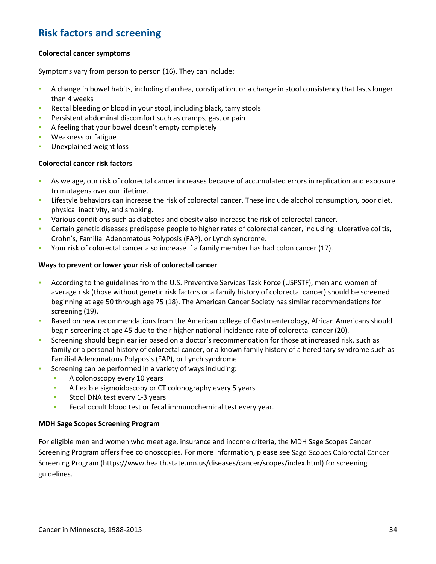## <span id="page-33-0"></span>**Risk factors and screening**

#### **Colorectal cancer symptoms**

Symptoms vary from person to person (16). They can include:

- A change in bowel habits, including diarrhea, constipation, or a change in stool consistency that lasts longer than 4 weeks
- Rectal bleeding or blood in your stool, including black, tarry stools
- Persistent abdominal discomfort such as cramps, gas, or pain
- A feeling that your bowel doesn't empty completely
- Weakness or fatigue
- Unexplained weight loss

#### **Colorectal cancer risk factors**

- **As we age, our risk of colorectal cancer increases because of accumulated errors in replication and exposure** to mutagens over our lifetime.
- Lifestyle behaviors can increase the risk of colorectal cancer. These include alcohol consumption, poor diet, physical inactivity, and smoking.
- Various conditions such as diabetes and obesity also increase the risk of colorectal cancer.
- Certain genetic diseases predispose people to higher rates of colorectal cancer, including: ulcerative colitis, Crohn's, Familial Adenomatous Polyposis (FAP), or Lynch syndrome.
- Your risk of colorectal cancer also increase if a family member has had colon cancer (17).

#### **Ways to prevent or lower your risk of colorectal cancer**

- According to the guidelines from the U.S. Preventive Services Task Force (USPSTF), men and women of average risk (those without genetic risk factors or a family history of colorectal cancer) should be screened beginning at age 50 through age 75 (18). The American Cancer Society has similar recommendations for screening (19).
- **Based on new recommendations from the American college of Gastroenterology, African Americans should** begin screening at age 45 due to their higher national incidence rate of colorectal cancer (20).
- **•** Screening should begin earlier based on a doctor's recommendation for those at increased risk, such as family or a personal history of colorectal cancer, or a known family history of a hereditary syndrome such as Familial Adenomatous Polyposis (FAP), or Lynch syndrome.
- **EXECTE:** Screening can be performed in a variety of ways including:
	- A colonoscopy every 10 years
	- **EXECT** A flexible sigmoidoscopy or CT colonography every 5 years
	- **Stool DNA test every 1-3 years**
	- **EXECT** Fecal occult blood test or fecal immunochemical test every year.

#### **MDH Sage Scopes Screening Program**

For eligible men and women who meet age, insurance and income criteria, the MDH Sage Scopes Cancer Screening Program offers free colonoscopies. For more information, please see [Sage-Scopes Colorectal Cancer](https://www.health.state.mn.us/diseases/cancer/scopes/index.html)  [Screening Program \(https://www.health.state.mn.us/diseases/cancer/scopes/index.html\)](https://www.health.state.mn.us/diseases/cancer/scopes/index.html) for screening guidelines.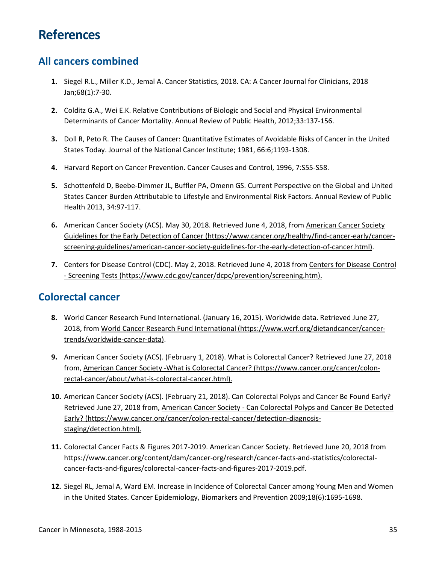# <span id="page-34-0"></span>**References**

### <span id="page-34-1"></span>**All cancers combined**

- **1.** Siegel R.L., Miller K.D., Jemal A. Cancer Statistics, 2018. CA: A Cancer Journal for Clinicians, 2018 Jan;68(1):7-30.
- **2.** Colditz G.A., Wei E.K. Relative Contributions of Biologic and Social and Physical Environmental Determinants of Cancer Mortality. Annual Review of Public Health, 2012;33:137-156.
- **3.** Doll R, Peto R. The Causes of Cancer: Quantitative Estimates of Avoidable Risks of Cancer in the United States Today. Journal of the National Cancer Institute; 1981, 66:6;1193-1308.
- **4.** Harvard Report on Cancer Prevention. Cancer Causes and Control, 1996, 7:S55-S58.
- **5.** Schottenfeld D, Beebe-Dimmer JL, Buffler PA, Omenn GS. Current Perspective on the Global and United States Cancer Burden Attributable to Lifestyle and Environmental Risk Factors. Annual Review of Public Health 2013, 34:97-117.
- **6.** American Cancer Society (ACS). May 30, 2018. Retrieved June 4, 2018, from [American Cancer Society](https://www.cancer.org/healthy/find-cancer-early/cancer-screening-guidelines/american-cancer-society-guidelines-for-the-early-detection-of-cancer.html)  [Guidelines for the Early Detection of Cancer \(https://www.cancer.org/healthy/find-cancer-early/cancer](https://www.cancer.org/healthy/find-cancer-early/cancer-screening-guidelines/american-cancer-society-guidelines-for-the-early-detection-of-cancer.html)[screening-guidelines/american-cancer-society-guidelines-for-the-early-detection-of-cancer.html\).](https://www.cancer.org/healthy/find-cancer-early/cancer-screening-guidelines/american-cancer-society-guidelines-for-the-early-detection-of-cancer.html)
- **7.** Centers for Disease Control (CDC). May 2, 2018. Retrieved June 4, 2018 from [Centers for Disease Control](https://www.cdc.gov/cancer/dcpc/prevention/screening.htm)  [- Screening Tests \(https://www.cdc.gov/cancer/dcpc/prevention/screening.htm\).](https://www.cdc.gov/cancer/dcpc/prevention/screening.htm)

### <span id="page-34-2"></span>**Colorectal cancer**

- **8.** World Cancer Research Fund International. (January 16, 2015). Worldwide data. Retrieved June 27, 2018, from [World Cancer Research Fund International \(https://www.wcrf.org/dietandcancer/cancer](https://www.wcrf.org/dietandcancer/cancer-trends/worldwide-cancer-data)[trends/worldwide-cancer-data\).](https://www.wcrf.org/dietandcancer/cancer-trends/worldwide-cancer-data)
- **9.** American Cancer Society (ACS). (February 1, 2018). What is Colorectal Cancer? Retrieved June 27, 2018 from, [American Cancer Society -What is Colorectal Cancer? \(https://www.cancer.org/cancer/colon](https://www.cancer.org/cancer/colon-rectal-cancer/about/what-is-colorectal-cancer.html)[rectal-cancer/about/what-is-colorectal-cancer.html\).](https://www.cancer.org/cancer/colon-rectal-cancer/about/what-is-colorectal-cancer.html)
- **10.** American Cancer Society (ACS). (February 21, 2018). Can Colorectal Polyps and Cancer Be Found Early? Retrieved June 27, 2018 from, American Cancer Society - Can Colorectal Polyps and Cancer Be Detected [Early? \(https://www.cancer.org/cancer/colon-rectal-cancer/detection-diagnosis](https://www.cancer.org/cancer/colon-rectal-cancer/detection-diagnosis-staging/detection.html)[staging/detection.html\).](https://www.cancer.org/cancer/colon-rectal-cancer/detection-diagnosis-staging/detection.html)
- **11.** Colorectal Cancer Facts & Figures 2017-2019. American Cancer Society. Retrieved June 20, 2018 from https://www.cancer.org/content/dam/cancer-org/research/cancer-facts-and-statistics/colorectalcancer-facts-and-figures/colorectal-cancer-facts-and-figures-2017-2019.pdf.
- **12.** Siegel RL, Jemal A, Ward EM. Increase in Incidence of Colorectal Cancer among Young Men and Women in the United States. Cancer Epidemiology, Biomarkers and Prevention 2009;18(6):1695-1698.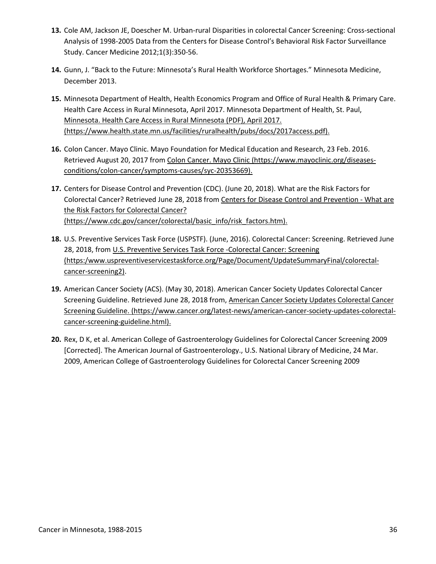- **13.** Cole AM, Jackson JE, Doescher M. Urban-rural Disparities in colorectal Cancer Screening: Cross-sectional Analysis of 1998-2005 Data from the Centers for Disease Control's Behavioral Risk Factor Surveillance Study. Cancer Medicine 2012;1(3):350-56.
- **14.** Gunn, J. "Back to the Future: Minnesota's Rural Health Workforce Shortages." Minnesota Medicine, December 2013.
- **15.** Minnesota Department of Health, Health Economics Program and Office of Rural Health & Primary Care. Health Care Access in Rural Minnesota, April 2017. Minnesota Department of Health, St. Paul, [Minnesota. Health Care Access in Rural Minnesota \(PDF\), April 2017.](https://www.health.state.mn.us/facilities/ruralhealth/pubs/docs/2017access.pdf)  [\(https://www.health.state.mn.us/facilities/ruralhealth/pubs/docs/2017access.pdf\).](https://www.health.state.mn.us/facilities/ruralhealth/pubs/docs/2017access.pdf)
- **16.** Colon Cancer. Mayo Clinic. Mayo Foundation for Medical Education and Research, 23 Feb. 2016. Retrieved August 20, 2017 fro[m Colon Cancer. Mayo Clinic \(https://www.mayoclinic.org/diseases](http://www.mayoclinic.org/diseases-conditions/colon-cancer/symptoms-causes/dxc-20188239)[conditions/colon-cancer/symptoms-causes/syc-20353669\).](http://www.mayoclinic.org/diseases-conditions/colon-cancer/symptoms-causes/dxc-20188239)
- **17.** Centers for Disease Control and Prevention (CDC). (June 20, 2018). What are the Risk Factors for Colorectal Cancer? Retrieved June 28, 2018 fro[m Centers for Disease Control and Prevention - What are](https://www.cdc.gov/cancer/colorectal/basic_info/risk_factors.htm)  [the Risk Factors for Colorectal Cancer?](https://www.cdc.gov/cancer/colorectal/basic_info/risk_factors.htm)  [\(https://www.cdc.gov/cancer/colorectal/basic\\_info/risk\\_factors.htm\).](https://www.cdc.gov/cancer/colorectal/basic_info/risk_factors.htm)
- **18.** U.S. Preventive Services Task Force (USPSTF). (June, 2016). Colorectal Cancer: Screening. Retrieved June 28, 2018, from [U.S. Preventive Services Task Force -Colorectal Cancer: Screening](https://www.uspreventiveservicestaskforce.org/Page/Document/UpdateSummaryFinal/colorectal-cancer-screening2)  [\(https:/www.uspreventiveservicestaskforce.org/Page/Document/UpdateSummaryFinal/colorectal](https://www.uspreventiveservicestaskforce.org/Page/Document/UpdateSummaryFinal/colorectal-cancer-screening2)[cancer-screening2\).](https://www.uspreventiveservicestaskforce.org/Page/Document/UpdateSummaryFinal/colorectal-cancer-screening2)
- **19.** American Cancer Society (ACS). (May 30, 2018). American Cancer Society Updates Colorectal Cancer Screening Guideline. Retrieved June 28, 2018 from, [American Cancer Society Updates Colorectal Cancer](https://www.cancer.org/latest-news/american-cancer-society-updates-colorectal-cancer-screening-guideline.html)  [Screening Guideline. \(https://www.cancer.org/latest-news/american-cancer-society-updates-colorectal](https://www.cancer.org/latest-news/american-cancer-society-updates-colorectal-cancer-screening-guideline.html)[cancer-screening-guideline.html\).](https://www.cancer.org/latest-news/american-cancer-society-updates-colorectal-cancer-screening-guideline.html)
- **20.** Rex, D K, et al. American College of Gastroenterology Guidelines for Colorectal Cancer Screening 2009 [Corrected]. The American Journal of Gastroenterology., U.S. National Library of Medicine, 24 Mar. 2009, American College of Gastroenterology Guidelines for Colorectal Cancer Screening 2009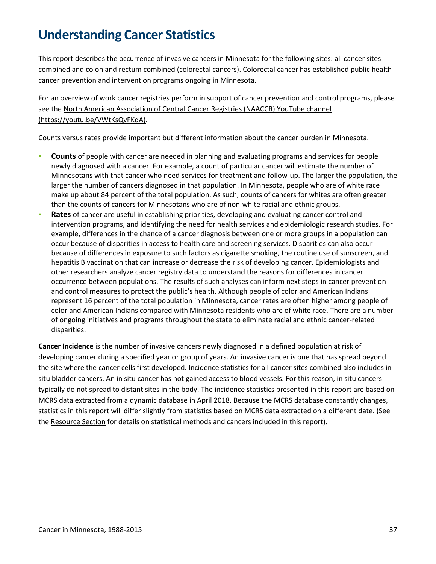# <span id="page-36-0"></span>**Understanding Cancer Statistics**

This report describes the occurrence of invasive cancers in Minnesota for the following sites: all cancer sites combined and colon and rectum combined (colorectal cancers). Colorectal cancer has established public health cancer prevention and intervention programs ongoing in Minnesota.

For an overview of work cancer registries perform in support of cancer prevention and control programs, please see the [North American Association of Central Cancer Registries \(NAACCR\) YouTube channel](https://www.youtube.com/channel/UC9rsOgoBQ4qvOB3mH1c3HOg)  [\(https://youtu.be/VWtKsQvFKdA\).](https://www.youtube.com/channel/UC9rsOgoBQ4qvOB3mH1c3HOg)

Counts versus rates provide important but different information about the cancer burden in Minnesota.

- **Counts** of people with cancer are needed in planning and evaluating programs and services for people newly diagnosed with a cancer. For example, a count of particular cancer will estimate the number of Minnesotans with that cancer who need services for treatment and follow-up. The larger the population, the larger the number of cancers diagnosed in that population. In Minnesota, people who are of white race make up about 84 percent of the total population. As such, counts of cancers for whites are often greater than the counts of cancers for Minnesotans who are of non-white racial and ethnic groups.
- Rates of cancer are useful in establishing priorities, developing and evaluating cancer control and intervention programs, and identifying the need for health services and epidemiologic research studies. For example, differences in the chance of a cancer diagnosis between one or more groups in a population can occur because of disparities in access to health care and screening services. Disparities can also occur because of differences in exposure to such factors as cigarette smoking, the routine use of sunscreen, and hepatitis B vaccination that can increase or decrease the risk of developing cancer. Epidemiologists and other researchers analyze cancer registry data to understand the reasons for differences in cancer occurrence between populations. The results of such analyses can inform next steps in cancer prevention and control measures to protect the public's health. Although people of color and American Indians represent 16 percent of the total population in Minnesota, cancer rates are often higher among people of color and American Indians compared with Minnesota residents who are of white race. There are a number of ongoing initiatives and programs throughout the state to eliminate racial and ethnic cancer-related disparities.

**Cancer Incidence** is the number of invasive cancers newly diagnosed in a defined population at risk of developing cancer during a specified year or group of years. An invasive cancer is one that has spread beyond the site where the cancer cells first developed. Incidence statistics for all cancer sites combined also includes in situ bladder cancers. An in situ cancer has not gained access to blood vessels. For this reason, in situ cancers typically do not spread to distant sites in the body. The incidence statistics presented in this report are based on MCRS data extracted from a dynamic database in April 2018. Because the MCRS database constantly changes, statistics in this report will differ slightly from statistics based on MCRS data extracted on a different date. (See the [Resource Section](#page-39-0) for details on statistical methods and cancers included in this report).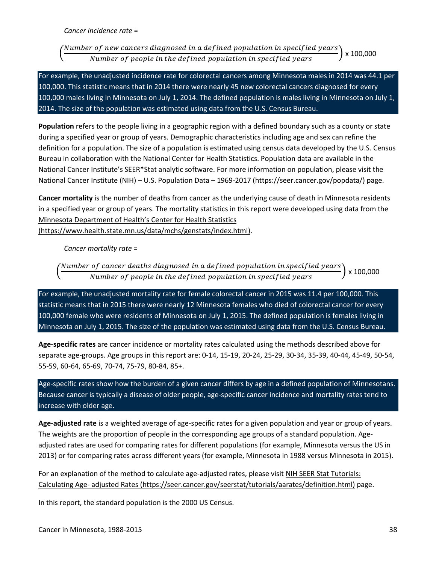**Cancer incidence rate =** 

Number of new cancers diagnosed in a defined population in specified years x 100,000 Number of people in the defined population in specified years

For example, the unadjusted incidence rate for colorectal cancers among Minnesota males in 2014 was 44.1 per 100,000. This statistic means that in 2014 there were nearly 45 new colorectal cancers diagnosed for every 100,000 males living in Minnesota on July 1, 2014. The defined population is males living in Minnesota on July 1, 2014. The size of the population was estimated using data from the U.S. Census Bureau.

**Population** refers to the people living in a geographic region with a defined boundary such as a county or state during a specified year or group of years. Demographic characteristics including age and sex can refine the definition for a population. The size of a population is estimated using census data developed by the U.S. Census Bureau in collaboration with the National Center for Health Statistics. Population data are available in the National Cancer Institute's SEER\*Stat analytic software. For more information on population, please visit the [National Cancer Institute \(NIH\) – U.S. Population Data – 1969-2017 \(https://seer.cancer.gov/popdata/\)](https://seer.cancer.gov/popdata/) page.

**Cancer mortality** is the number of deaths from cancer as the underlying cause of death in Minnesota residents in a specified year or group of years. The mortality statistics in this report were developed using data from the [Minnesota Department of Health's Center for Health Statistics](https://www.health.state.mn.us/data/mchs/genstats/index.html) 

[\(https://www.health.state.mn.us/data/mchs/genstats/index.html\).](https://www.health.state.mn.us/data/mchs/genstats/index.html)

**Cancer mortality rate =** 

Number of cancer deaths diagnosed in a defined population in specified years $\dot{}$  $\frac{1}{2} \times 100.000$ Number of people in the defined population in specified years

For example, the unadjusted mortality rate for female colorectal cancer in 2015 was 11.4 per 100,000. This statistic means that in 2015 there were nearly 12 Minnesota females who died of colorectal cancer for every 100,000 female who were residents of Minnesota on July 1, 2015. The defined population is females living in Minnesota on July 1, 2015. The size of the population was estimated using data from the U.S. Census Bureau.

**Age-specific rates** are cancer incidence or mortality rates calculated using the methods described above for separate age-groups. Age groups in this report are: 0-14, 15-19, 20-24, 25-29, 30-34, 35-39, 40-44, 45-49, 50-54, 55-59, 60-64, 65-69, 70-74, 75-79, 80-84, 85+.

Age-specific rates show how the burden of a given cancer differs by age in a defined population of Minnesotans. Because cancer is typically a disease of older people, age-specific cancer incidence and mortality rates tend to increase with older age.

**Age-adjusted rate** is a weighted average of age-specific rates for a given population and year or group of years. The weights are the proportion of people in the corresponding age groups of a standard population. Ageadjusted rates are used for comparing rates for different populations (for example, Minnesota versus the US in 2013) or for comparing rates across different years (for example, Minnesota in 1988 versus Minnesota in 2015).

For an explanation of the method to calculate age-adjusted rates, please visit NIH SEER Stat Tutorials: [Calculating Age- adjusted Rates \(https://seer.cancer.gov/seerstat/tutorials/aarates/definition.html\)](https://seer.cancer.gov/seerstat/tutorials/aarates/definition.html) page.

In this report, the standard population is the 2000 US Census.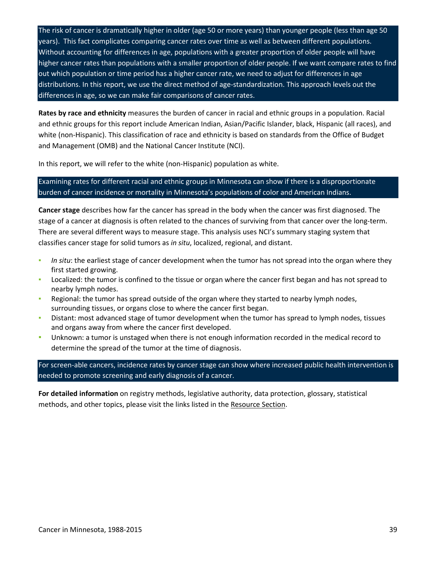The risk of cancer is dramatically higher in older (age 50 or more years) than younger people (less than age 50 years). This fact complicates comparing cancer rates over time as well as between different populations. Without accounting for differences in age, populations with a greater proportion of older people will have higher cancer rates than populations with a smaller proportion of older people. If we want compare rates to find out which population or time period has a higher cancer rate, we need to adjust for differences in age distributions. In this report, we use the direct method of age-standardization. This approach levels out the differences in age, so we can make fair comparisons of cancer rates.

**Rates by race and ethnicity** measures the burden of cancer in racial and ethnic groups in a population. Racial and ethnic groups for this report include American Indian, Asian/Pacific Islander, black, Hispanic (all races), and white (non-Hispanic). This classification of race and ethnicity is based on standards from the Office of Budget and Management (OMB) and the National Cancer Institute (NCI).

In this report, we will refer to the white (non-Hispanic) population as white.

### Examining rates for different racial and ethnic groups in Minnesota can show if there is a disproportionate burden of cancer incidence or mortality in Minnesota's populations of color and American Indians.

**Cancer stage** describes how far the cancer has spread in the body when the cancer was first diagnosed. The stage of a cancer at diagnosis is often related to the chances of surviving from that cancer over the long-term. There are several different ways to measure stage. This analysis uses NCI's summary staging system that classifies cancer stage for solid tumors as *in situ*, localized, regional, and distant.

- In situ: the earliest stage of cancer development when the tumor has not spread into the organ where they first started growing.
- Localized: the tumor is confined to the tissue or organ where the cancer first began and has not spread to nearby lymph nodes.
- Regional: the tumor has spread outside of the organ where they started to nearby lymph nodes, surrounding tissues, or organs close to where the cancer first began.
- Distant: most advanced stage of tumor development when the tumor has spread to lymph nodes, tissues and organs away from where the cancer first developed.
- Unknown: a tumor is unstaged when there is not enough information recorded in the medical record to determine the spread of the tumor at the time of diagnosis.

For screen-able cancers, incidence rates by cancer stage can show where increased public health intervention is needed to promote screening and early diagnosis of a cancer.

**For detailed information** on registry methods, legislative authority, data protection, glossary, statistical methods, and other topics, please visit the links listed in the [Resource Section.](#page-39-0)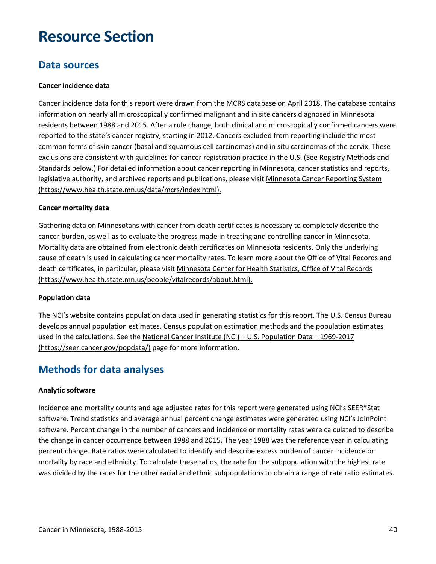# <span id="page-39-0"></span>**Resource Section**

### <span id="page-39-1"></span>**Data sources**

#### **Cancer incidence data**

Cancer incidence data for this report were drawn from the MCRS database on April 2018. The database contains information on nearly all microscopically confirmed malignant and in site cancers diagnosed in Minnesota residents between 1988 and 2015. After a rule change, both clinical and microscopically confirmed cancers were reported to the state's cancer registry, starting in 2012. Cancers excluded from reporting include the most common forms of skin cancer (basal and squamous cell carcinomas) and in situ carcinomas of the cervix. These exclusions are consistent with guidelines for cancer registration practice in the U.S. (See Registry Methods and Standards below.) For detailed information about cancer reporting in Minnesota, cancer statistics and reports, legislative authority, and archived reports and publications, please visit Minnesota Cancer Reporting System [\(https://www.health.state.mn.us/data/mcrs/index.html\).](https://www.health.state.mn.us/data/mcrs/index.html)

#### **Cancer mortality data**

Gathering data on Minnesotans with cancer from death certificates is necessary to completely describe the cancer burden, as well as to evaluate the progress made in treating and controlling cancer in Minnesota. Mortality data are obtained from electronic death certificates on Minnesota residents. Only the underlying cause of death is used in calculating cancer mortality rates. To learn more about the Office of Vital Records and death certificates, in particular, please visit [Minnesota Center for Health Statistics, Office of Vital Records](https://www.health.state.mn.us/people/vitalrecords/about.html)  [\(https://www.health.state.mn.us/people/vitalrecords/about.html\).](https://www.health.state.mn.us/people/vitalrecords/about.html)

#### **Population data**

The NCI's website contains population data used in generating statistics for this report. The U.S. Census Bureau develops annual population estimates. Census population estimation methods and the population estimates used in the calculations. See the [National Cancer Institute \(NCI\) – U.S. Population Data – 1969-2017](https://seer.cancer.gov/popdata/)  [\(https://seer.cancer.gov/popdata/\)](https://seer.cancer.gov/popdata/) page for more information.

### <span id="page-39-2"></span>**Methods for data analyses**

#### **Analytic software**

Incidence and mortality counts and age adjusted rates for this report were generated using NCI's SEER\*Stat software. Trend statistics and average annual percent change estimates were generated using NCI's JoinPoint software. Percent change in the number of cancers and incidence or mortality rates were calculated to describe the change in cancer occurrence between 1988 and 2015. The year 1988 was the reference year in calculating percent change. Rate ratios were calculated to identify and describe excess burden of cancer incidence or mortality by race and ethnicity. To calculate these ratios, the rate for the subpopulation with the highest rate was divided by the rates for the other racial and ethnic subpopulations to obtain a range of rate ratio estimates.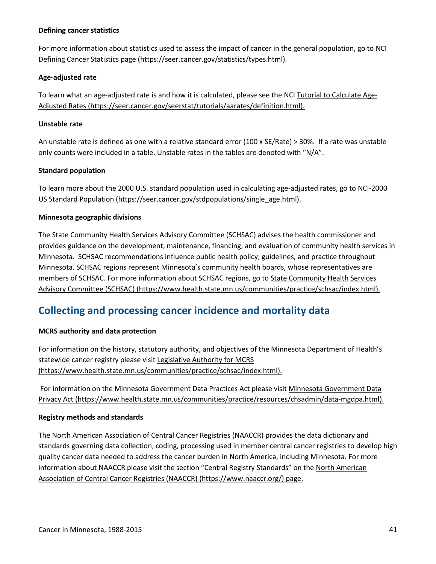#### **Defining cancer statistics**

For more information about statistics used to assess the impact of cancer in the general population, go to [NCI](https://seer.cancer.gov/statistics/types.html)  [Defining Cancer Statistics page \(https://seer.cancer.gov/statistics/types.html\).](https://seer.cancer.gov/statistics/types.html)

#### **Age-adjusted rate**

To learn what an age-adjusted rate is and how it is calculated, please see the NCI [Tutorial to Calculate Age-](https://seer.cancer.gov/seerstat/tutorials/aarates/definition.html)[Adjusted Rates \(https://seer.cancer.gov/seerstat/tutorials/aarates/definition.html\).](https://seer.cancer.gov/seerstat/tutorials/aarates/definition.html)

#### **Unstable rate**

An unstable rate is defined as one with a relative standard error (100 x SE/Rate) > 30%. If a rate was unstable only counts were included in a table. Unstable rates in the tables are denoted with "N/A".

#### **Standard population**

To learn more about the 2000 U.S. standard population used in calculating age-adjusted rates, go to NCI[-2000](https://seer.cancer.gov/stdpopulations/single_age.html)  [US Standard Population \(https://seer.cancer.gov/stdpopulations/single\\_age.html\).](https://seer.cancer.gov/stdpopulations/single_age.html)

#### **Minnesota geographic divisions**

The State Community Health Services Advisory Committee (SCHSAC) advises the health commissioner and provides guidance on the development, maintenance, financing, and evaluation of community health services in Minnesota. SCHSAC recommendations influence public health policy, guidelines, and practice throughout Minnesota. SCHSAC regions represent Minnesota's community health boards, whose representatives are members of SCHSAC. For more information about SCHSAC regions, go to **State Community Health Services** [Advisory Committee \(SCHSAC\) \(https://www.health.state.mn.us/communities/practice/schsac/index.html\).](https://www.health.state.mn.us/communities/practice/schsac/index.html)

## <span id="page-40-0"></span>**Collecting and processing cancer incidence and mortality data**

#### **MCRS authority and data protection**

For information on the history, statutory authority, and objectives of the Minnesota Department of Health's statewide cancer registry please visit Legislative Authority for MCRS [\(https://www.health.state.mn.us/communities/practice/schsac/index.html\).](https://www.health.state.mn.us/data/mcrs/authority.html)

For information on the Minnesota Government Data Practices Act please visit [Minnesota Government Data](https://www.health.state.mn.us/communities/practice/resources/chsadmin/data-mgdpa.html)  [Privacy Act \(https://www.health.state.mn.us/communities/practice/resources/chsadmin/data-mgdpa.html\).](https://www.health.state.mn.us/communities/practice/resources/chsadmin/data-mgdpa.html)

#### **Registry methods and standards**

The North American Association of Central Cancer Registries (NAACCR) provides the data dictionary and standards governing data collection, coding, processing used in member central cancer registries to develop high quality cancer data needed to address the cancer burden in North America, including Minnesota. For more information about NAACCR please visit the section "Central Registry Standards" on th[e North American](https://www.naaccr.org/)  [Association of Central Cancer Registries \(NAACCR\) \(https://www.naaccr.org/\)](https://www.naaccr.org/) page.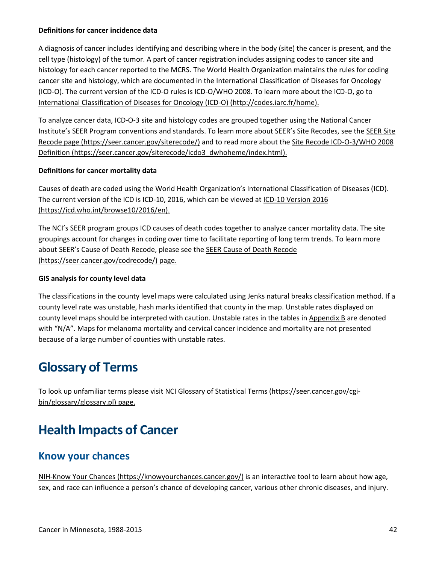#### **Definitions for cancer incidence data**

A diagnosis of cancer includes identifying and describing where in the body (site) the cancer is present, and the cell type (histology) of the tumor. A part of cancer registration includes assigning codes to cancer site and histology for each cancer reported to the MCRS. The World Health Organization maintains the rules for coding cancer site and histology, which are documented in the International Classification of Diseases for Oncology (ICD-O). The current version of the ICD-O rules is ICD-O/WHO 2008. To learn more about the ICD-O, go to [International Classification of Diseases for Oncology \(ICD-O\) \(http://codes.iarc.fr/home\).](http://codes.iarc.fr/home)

To analyze cancer data, ICD-O-3 site and histology codes are grouped together using the National Cancer Institute's SEER Program conventions and standards. To learn more about SEER's Site Recodes, see the [SEER Site](https://seer.cancer.gov/siterecode/)  [Recode page \(https://seer.cancer.gov/siterecode/\)](https://seer.cancer.gov/siterecode/) and to read more about the [Site Recode ICD-O-3/WHO 2008](https://seer.cancer.gov/siterecode/icdo3_dwhoheme/index.html)  [Definition \(https://seer.cancer.gov/siterecode/icdo3\\_dwhoheme/index.html\).](https://seer.cancer.gov/siterecode/icdo3_dwhoheme/index.html)

#### **Definitions for cancer mortality data**

Causes of death are coded using the World Health Organization's International Classification of Diseases (ICD). The current version of the ICD is ICD-10, 2016, which can be viewed at [ICD-10 Version 2016](http://apps.who.int/classifications/icd10/browse/2016/en)  [\(https://icd.who.int/browse10/2016/en\).](http://apps.who.int/classifications/icd10/browse/2016/en)

The NCI's SEER program groups ICD causes of death codes together to analyze cancer mortality data. The site groupings account for changes in coding over time to facilitate reporting of long term trends. To learn more about SEER's Cause of Death Recode, please see the [SEER Cause of Death Recode](https://seer.cancer.gov/codrecode/)  [\(https://seer.cancer.gov/codrecode/\)](https://seer.cancer.gov/codrecode/) page.

#### **GIS analysis for county level data**

The classifications in the county level maps were calculated using Jenks natural breaks classification method. If a county level rate was unstable, hash marks identified that county in the map. Unstable rates displayed on county level maps should be interpreted with caution. Unstable rates in the tables in [Appendix B](#page-49-0) are denoted with "N/A". Maps for melanoma mortality and cervical cancer incidence and mortality are not presented because of a large number of counties with unstable rates.

# <span id="page-41-0"></span>**Glossary of Terms**

To look up unfamiliar terms please visit [NCI Glossary of Statistical Terms \(https://seer.cancer.gov/cgi](https://seer.cancer.gov/cgi-bin/glossary/glossary.pl)[bin/glossary/glossary.pl\)](https://seer.cancer.gov/cgi-bin/glossary/glossary.pl) page.

# <span id="page-41-1"></span>**Health Impacts of Cancer**

### <span id="page-41-2"></span>**Know your chances**

[NIH-Know Your Chances \(https://knowyourchances.cancer.gov/\)](https://knowyourchances.cancer.gov/) is an interactive tool to learn about how age, sex, and race can influence a person's chance of developing cancer, various other chronic diseases, and injury.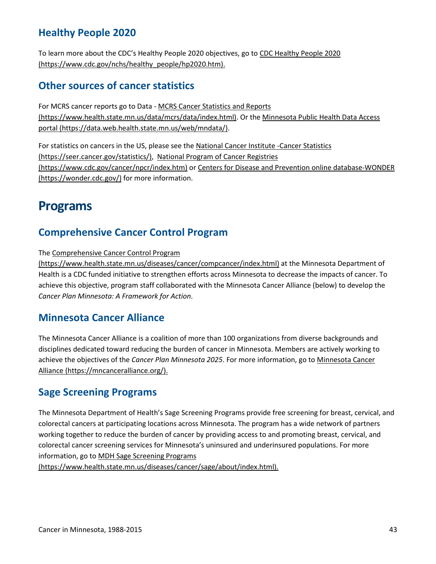## <span id="page-42-0"></span>**Healthy People 2020**

To learn more about the CDC's Healthy People 2020 objectives, go to [CDC Healthy People 2020](https://www.cdc.gov/nchs/healthy_people/hp2020.htm)  [\(https://www.cdc.gov/nchs/healthy\\_people/hp2020.htm\).](https://www.cdc.gov/nchs/healthy_people/hp2020.htm)

### <span id="page-42-1"></span>**Other sources of cancer statistics**

For MCRS cancer reports go to Data - [MCRS Cancer Statistics and Reports](https://www.health.state.mn.us/data/mcrs/data/index.html)  [\(https://www.health.state.mn.us/data/mcrs/data/index.html\).](https://www.health.state.mn.us/data/mcrs/data/index.html) Or the [Minnesota Public Health Data Access](https://data.web.health.state.mn.us/web/mndata/)  [portal \(https://data.web.health.state.mn.us/web/mndata/\).](https://data.web.health.state.mn.us/web/mndata/)

For statistics on cancers in the US, please see the [National Cancer Institute -Cancer Statistics](https://seer.cancer.gov/statistics/)  [\(https://seer.cancer.gov/statistics/\),](https://seer.cancer.gov/statistics/) [National Program of Cancer Registries](https://www.cdc.gov/cancer/npcr/index.htm)  [\(https://www.cdc.gov/cancer/npcr/index.htm\)](https://www.cdc.gov/cancer/npcr/index.htm) or [Centers for Disease and Prevention online database-WONDER](https://wonder.cdc.gov/)  [\(https://wonder.cdc.gov/\)](https://wonder.cdc.gov/) for more information.

# <span id="page-42-2"></span>**Programs**

### <span id="page-42-3"></span>**Comprehensive Cancer Control Program**

The [Comprehensive Cancer Control Program](https://www.health.state.mn.us/diseases/cancer/compcancer/index.html) 

[\(https://www.health.state.mn.us/diseases/cancer/compcancer/index.html\)](https://www.health.state.mn.us/diseases/cancer/compcancer/index.html) at the Minnesota Department of Health is a CDC funded initiative to strengthen efforts across Minnesota to decrease the impacts of cancer. To achieve this objective, program staff collaborated with the Minnesota Cancer Alliance (below) to develop the *Cancer Plan Minnesota: A Framework for Action*.

### <span id="page-42-4"></span>**Minnesota Cancer Alliance**

The Minnesota Cancer Alliance is a coalition of more than 100 organizations from diverse backgrounds and disciplines dedicated toward reducing the burden of cancer in Minnesota. Members are actively working to achieve the objectives of the *Cancer Plan Minnesota 2025*. For more information, go to [Minnesota Cancer](https://mncanceralliance.org/)  [Alliance \(https://mncanceralliance.org/\).](https://mncanceralliance.org/)

### <span id="page-42-5"></span>**Sage Screening Programs**

The Minnesota Department of Health's Sage Screening Programs provide free screening for breast, cervical, and colorectal cancers at participating locations across Minnesota. The program has a wide network of partners working together to reduce the burden of cancer by providing access to and promoting breast, cervical, and colorectal cancer screening services for Minnesota's uninsured and underinsured populations. For more information, go to [MDH Sage Screening Programs](http://www.health.state.mn.us/divs/healthimprovement/working-together/who-we-are/sage.html) 

[\(https://www.health.state.mn.us/diseases/cancer/sage/about/index.html\).](http://www.health.state.mn.us/divs/healthimprovement/working-together/who-we-are/sage.html)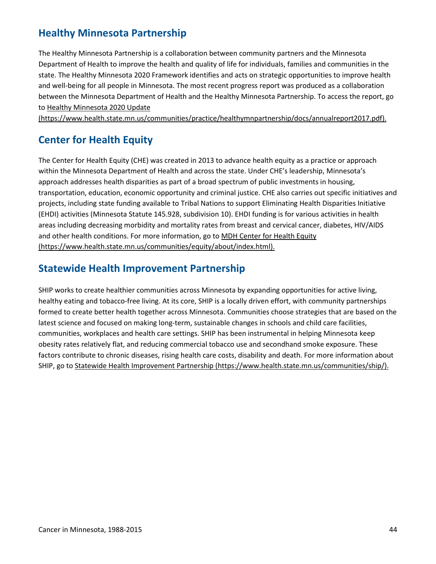## <span id="page-43-0"></span>**Healthy Minnesota Partnership**

The Healthy Minnesota Partnership is a collaboration between community partners and the Minnesota Department of Health to improve the health and quality of life for individuals, families and communities in the state. The Healthy Minnesota 2020 Framework identifies and acts on strategic opportunities to improve health and well-being for all people in Minnesota. The most recent progress report was produced as a collaboration between the Minnesota Department of Health and the Healthy Minnesota Partnership. To access the report, go to [Healthy Minnesota 2020 Update](https://www.health.state.mn.us/communities/practice/healthymnpartnership/docs/annualreport2017.pdf) 

[\(https://www.health.state.mn.us/communities/practice/healthymnpartnership/docs/annualreport2017.pdf\).](https://www.health.state.mn.us/communities/practice/healthymnpartnership/docs/annualreport2017.pdf)

## <span id="page-43-1"></span>**Center for Health Equity**

The Center for Health Equity (CHE) was created in 2013 to advance health equity as a practice or approach within the Minnesota Department of Health and across the state. Under CHE's leadership, Minnesota's approach addresses health disparities as part of a broad spectrum of public investments in housing, transportation, education, economic opportunity and criminal justice. CHE also carries out specific initiatives and projects, including state funding available to Tribal Nations to support Eliminating Health Disparities Initiative (EHDI) activities (Minnesota Statute 145.928, subdivision 10). EHDI funding is for various activities in health areas including decreasing morbidity and mortality rates from breast and cervical cancer, diabetes, HIV/AIDS and other health conditions. For more information, go to [MDH Center for Health Equity](https://www.health.state.mn.us/communities/equity/about/index.html)  [\(https://www.health.state.mn.us/communities/equity/about/index.html\).](https://www.health.state.mn.us/communities/equity/about/index.html)

### <span id="page-43-2"></span>**Statewide Health Improvement Partnership**

SHIP works to create healthier communities across Minnesota by expanding opportunities for active living, healthy eating and tobacco-free living. At its core, SHIP is a locally driven effort, with community partnerships formed to create better health together across Minnesota. Communities choose strategies that are based on the latest science and focused on making long-term, sustainable changes in schools and child care facilities, communities, workplaces and health care settings. SHIP has been instrumental in helping Minnesota keep obesity rates relatively flat, and reducing commercial tobacco use and secondhand smoke exposure. These factors contribute to chronic diseases, rising health care costs, disability and death. For more information about SHIP, go to [Statewide Health Improvement Partnership \(https://www.health.state.mn.us/communities/ship/\).](http://www.health.state.mn.us/divs/oshii/ship/index.html)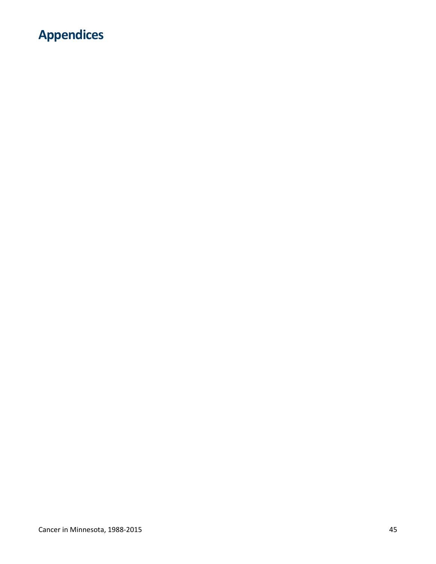# <span id="page-44-0"></span>**Appendices**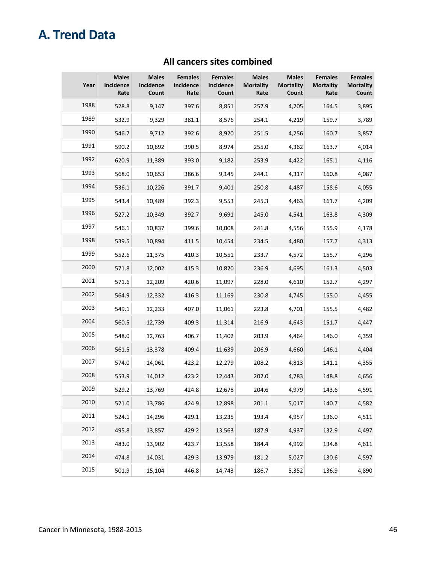# <span id="page-45-0"></span>**A. Trend Data**

| Year | <b>Males</b><br>Incidence<br>Rate | <b>Males</b><br>Incidence<br>Count | <b>Females</b><br>Incidence<br>Rate | <b>Females</b><br><b>Incidence</b><br>Count | <b>Males</b><br><b>Mortality</b><br>Rate | <b>Males</b><br><b>Mortality</b><br>Count | <b>Females</b><br><b>Mortality</b><br>Rate | <b>Females</b><br><b>Mortality</b><br>Count |
|------|-----------------------------------|------------------------------------|-------------------------------------|---------------------------------------------|------------------------------------------|-------------------------------------------|--------------------------------------------|---------------------------------------------|
| 1988 | 528.8                             | 9,147                              | 397.6                               | 8,851                                       | 257.9                                    | 4,205                                     | 164.5                                      | 3,895                                       |
| 1989 | 532.9                             | 9,329                              | 381.1                               | 8,576                                       | 254.1                                    | 4,219                                     | 159.7                                      | 3,789                                       |
| 1990 | 546.7                             | 9,712                              | 392.6                               | 8,920                                       | 251.5                                    | 4,256                                     | 160.7                                      | 3,857                                       |
| 1991 | 590.2                             | 10,692                             | 390.5                               | 8,974                                       | 255.0                                    | 4,362                                     | 163.7                                      | 4,014                                       |
| 1992 | 620.9                             | 11,389                             | 393.0                               | 9,182                                       | 253.9                                    | 4,422                                     | 165.1                                      | 4,116                                       |
| 1993 | 568.0                             | 10,653                             | 386.6                               | 9,145                                       | 244.1                                    | 4,317                                     | 160.8                                      | 4,087                                       |
| 1994 | 536.1                             | 10,226                             | 391.7                               | 9,401                                       | 250.8                                    | 4,487                                     | 158.6                                      | 4,055                                       |
| 1995 | 543.4                             | 10,489                             | 392.3                               | 9,553                                       | 245.3                                    | 4,463                                     | 161.7                                      | 4,209                                       |
| 1996 | 527.2                             | 10,349                             | 392.7                               | 9,691                                       | 245.0                                    | 4,541                                     | 163.8                                      | 4,309                                       |
| 1997 | 546.1                             | 10,837                             | 399.6                               | 10,008                                      | 241.8                                    | 4,556                                     | 155.9                                      | 4,178                                       |
| 1998 | 539.5                             | 10,894                             | 411.5                               | 10,454                                      | 234.5                                    | 4,480                                     | 157.7                                      | 4,313                                       |
| 1999 | 552.6                             | 11,375                             | 410.3                               | 10,551                                      | 233.7                                    | 4,572                                     | 155.7                                      | 4,296                                       |
| 2000 | 571.8                             | 12,002                             | 415.3                               | 10,820                                      | 236.9                                    | 4,695                                     | 161.3                                      | 4,503                                       |
| 2001 | 571.6                             | 12,209                             | 420.6                               | 11,097                                      | 228.0                                    | 4,610                                     | 152.7                                      | 4,297                                       |
| 2002 | 564.9                             | 12,332                             | 416.3                               | 11,169                                      | 230.8                                    | 4,745                                     | 155.0                                      | 4,455                                       |
| 2003 | 549.1                             | 12,233                             | 407.0                               | 11,061                                      | 223.8                                    | 4,701                                     | 155.5                                      | 4,482                                       |
| 2004 | 560.5                             | 12,739                             | 409.3                               | 11,314                                      | 216.9                                    | 4,643                                     | 151.7                                      | 4,447                                       |
| 2005 | 548.0                             | 12,763                             | 406.7                               | 11,402                                      | 203.9                                    | 4,464                                     | 146.0                                      | 4,359                                       |
| 2006 | 561.5                             | 13,378                             | 409.4                               | 11,639                                      | 206.9                                    | 4,660                                     | 146.1                                      | 4,404                                       |
| 2007 | 574.0                             | 14,061                             | 423.2                               | 12,279                                      | 208.2                                    | 4,813                                     | 141.1                                      | 4,355                                       |
| 2008 | 553.9                             | 14,012                             | 423.2                               | 12,443                                      | 202.0                                    | 4,783                                     | 148.8                                      | 4,656                                       |
| 2009 | 529.2                             | 13,769                             | 424.8                               | 12,678                                      | 204.6                                    | 4,979                                     | 143.6                                      | 4,591                                       |
| 2010 | 521.0                             | 13,786                             | 424.9                               | 12,898                                      | 201.1                                    | 5,017                                     | 140.7                                      | 4,582                                       |
| 2011 | 524.1                             | 14,296                             | 429.1                               | 13,235                                      | 193.4                                    | 4,957                                     | 136.0                                      | 4,511                                       |
| 2012 | 495.8                             | 13,857                             | 429.2                               | 13,563                                      | 187.9                                    | 4,937                                     | 132.9                                      | 4,497                                       |
| 2013 | 483.0                             | 13,902                             | 423.7                               | 13,558                                      | 184.4                                    | 4,992                                     | 134.8                                      | 4,611                                       |
| 2014 | 474.8                             | 14,031                             | 429.3                               | 13,979                                      | 181.2                                    | 5,027                                     | 130.6                                      | 4,597                                       |
| 2015 | 501.9                             | 15,104                             | 446.8                               | 14,743                                      | 186.7                                    | 5,352                                     | 136.9                                      | 4,890                                       |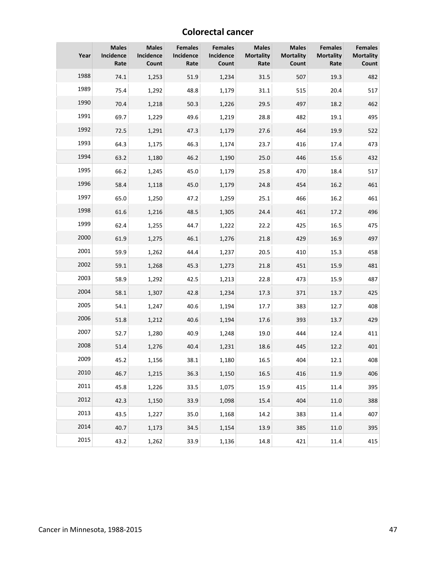### **Colorectal cancer**

| Year | <b>Males</b><br>Incidence<br>Rate | <b>Males</b><br>Incidence<br>Count | <b>Females</b><br>Incidence<br>Rate | <b>Females</b><br>Incidence<br>Count | <b>Males</b><br><b>Mortality</b><br>Rate | <b>Males</b><br><b>Mortality</b><br>Count | <b>Females</b><br><b>Mortality</b><br>Rate | <b>Females</b><br><b>Mortality</b><br>Count |
|------|-----------------------------------|------------------------------------|-------------------------------------|--------------------------------------|------------------------------------------|-------------------------------------------|--------------------------------------------|---------------------------------------------|
| 1988 | 74.1                              | 1,253                              | 51.9                                | 1,234                                | 31.5                                     | 507                                       | 19.3                                       | 482                                         |
| 1989 | 75.4                              | 1,292                              | 48.8                                | 1,179                                | 31.1                                     | 515                                       | 20.4                                       | 517                                         |
| 1990 | 70.4                              | 1,218                              | 50.3                                | 1,226                                | 29.5                                     | 497                                       | 18.2                                       | 462                                         |
| 1991 | 69.7                              | 1,229                              | 49.6                                | 1,219                                | 28.8                                     | 482                                       | 19.1                                       | 495                                         |
| 1992 | 72.5                              | 1,291                              | 47.3                                | 1,179                                | 27.6                                     | 464                                       | 19.9                                       | 522                                         |
| 1993 | 64.3                              | 1,175                              | 46.3                                | 1,174                                | 23.7                                     | 416                                       | 17.4                                       | 473                                         |
| 1994 | 63.2                              | 1,180                              | 46.2                                | 1,190                                | 25.0                                     | 446                                       | 15.6                                       | 432                                         |
| 1995 | 66.2                              | 1,245                              | 45.0                                | 1,179                                | 25.8                                     | 470                                       | 18.4                                       | 517                                         |
| 1996 | 58.4                              | 1,118                              | 45.0                                | 1,179                                | 24.8                                     | 454                                       | 16.2                                       | 461                                         |
| 1997 | 65.0                              | 1,250                              | 47.2                                | 1,259                                | 25.1                                     | 466                                       | 16.2                                       | 461                                         |
| 1998 | 61.6                              | 1,216                              | 48.5                                | 1,305                                | 24.4                                     | 461                                       | 17.2                                       | 496                                         |
| 1999 | 62.4                              | 1,255                              | 44.7                                | 1,222                                | 22.2                                     | 425                                       | 16.5                                       | 475                                         |
| 2000 | 61.9                              | 1,275                              | 46.1                                | 1,276                                | 21.8                                     | 429                                       | 16.9                                       | 497                                         |
| 2001 | 59.9                              | 1,262                              | 44.4                                | 1,237                                | 20.5                                     | 410                                       | 15.3                                       | 458                                         |
| 2002 | 59.1                              | 1,268                              | 45.3                                | 1,273                                | 21.8                                     | 451                                       | 15.9                                       | 481                                         |
| 2003 | 58.9                              | 1,292                              | 42.5                                | 1,213                                | 22.8                                     | 473                                       | 15.9                                       | 487                                         |
| 2004 | 58.1                              | 1,307                              | 42.8                                | 1,234                                | 17.3                                     | 371                                       | 13.7                                       | 425                                         |
| 2005 | 54.1                              | 1,247                              | 40.6                                | 1,194                                | 17.7                                     | 383                                       | 12.7                                       | 408                                         |
| 2006 | 51.8                              | 1,212                              | 40.6                                | 1,194                                | 17.6                                     | 393                                       | 13.7                                       | 429                                         |
| 2007 | 52.7                              | 1,280                              | 40.9                                | 1,248                                | 19.0                                     | 444                                       | 12.4                                       | 411                                         |
| 2008 | 51.4                              | 1,276                              | 40.4                                | 1,231                                | 18.6                                     | 445                                       | 12.2                                       | 401                                         |
| 2009 | 45.2                              | 1,156                              | 38.1                                | 1,180                                | 16.5                                     | 404                                       | 12.1                                       | 408                                         |
| 2010 | 46.7                              | 1,215                              | 36.3                                | 1,150                                | 16.5                                     | 416                                       | 11.9                                       | 406                                         |
| 2011 | 45.8                              | 1,226                              | 33.5                                | 1,075                                | 15.9                                     | 415                                       | 11.4                                       | 395                                         |
| 2012 | 42.3                              | 1,150                              | 33.9                                | 1,098                                | 15.4                                     | 404                                       | 11.0                                       | 388                                         |
| 2013 | 43.5                              | 1,227                              | 35.0                                | 1,168                                | 14.2                                     | 383                                       | 11.4                                       | 407                                         |
| 2014 | 40.7                              | 1,173                              | 34.5                                | 1,154                                | 13.9                                     | 385                                       | 11.0                                       | 395                                         |
| 2015 | 43.2                              | 1,262                              | 33.9                                | 1,136                                | 14.8                                     | 421                                       | 11.4                                       | 415                                         |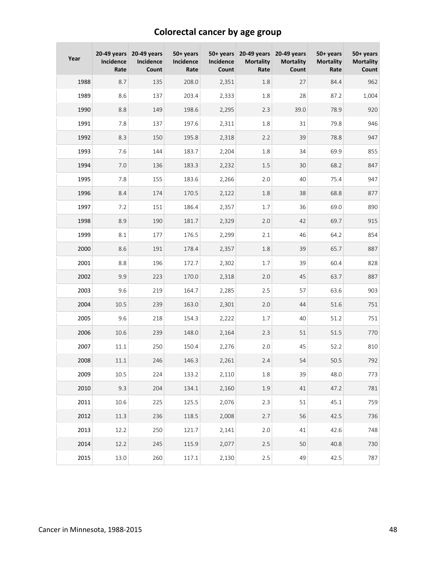# **Colorectal cancer by age group**

| Year | $20-49$ years<br>Incidence<br>Rate | 20-49 years<br>Incidence<br>Count | 50+ years<br>Incidence<br>Rate | Incidence<br>Count | $50+ \text{years}$ 20-49 years<br><b>Mortality</b><br>Rate | 20-49 years<br><b>Mortality</b><br>Count | 50+ years<br><b>Mortality</b><br>Rate | 50+ years<br><b>Mortality</b><br>Count |
|------|------------------------------------|-----------------------------------|--------------------------------|--------------------|------------------------------------------------------------|------------------------------------------|---------------------------------------|----------------------------------------|
| 1988 | 8.7                                | 135                               | 208.0                          | 2,351              | 1.8                                                        | 27                                       | 84.4                                  | 962                                    |
| 1989 | 8.6                                | 137                               | 203.4                          | 2,333              | 1.8                                                        | 28                                       | 87.2                                  | 1,004                                  |
| 1990 | 8.8                                | 149                               | 198.6                          | 2,295              | 2.3                                                        | 39.0                                     | 78.9                                  | 920                                    |
| 1991 | 7.8                                | 137                               | 197.6                          | 2,311              | 1.8                                                        | 31                                       | 79.8                                  | 946                                    |
| 1992 | 8.3                                | 150                               | 195.8                          | 2,318              | 2.2                                                        | 39                                       | 78.8                                  | 947                                    |
| 1993 | 7.6                                | 144                               | 183.7                          | 2,204              | 1.8                                                        | 34                                       | 69.9                                  | 855                                    |
| 1994 | 7.0                                | 136                               | 183.3                          | 2,232              | 1.5                                                        | 30                                       | 68.2                                  | 847                                    |
| 1995 | 7.8                                | 155                               | 183.6                          | 2,266              | 2.0                                                        | 40                                       | 75.4                                  | 947                                    |
| 1996 | 8.4                                | 174                               | 170.5                          | 2,122              | 1.8                                                        | 38                                       | 68.8                                  | 877                                    |
| 1997 | 7.2                                | 151                               | 186.4                          | 2,357              | 1.7                                                        | 36                                       | 69.0                                  | 890                                    |
| 1998 | 8.9                                | 190                               | 181.7                          | 2,329              | 2.0                                                        | 42                                       | 69.7                                  | 915                                    |
| 1999 | 8.1                                | 177                               | 176.5                          | 2,299              | 2.1                                                        | 46                                       | 64.2                                  | 854                                    |
| 2000 | 8.6                                | 191                               | 178.4                          | 2,357              | 1.8                                                        | 39                                       | 65.7                                  | 887                                    |
| 2001 | 8.8                                | 196                               | 172.7                          | 2,302              | 1.7                                                        | 39                                       | 60.4                                  | 828                                    |
| 2002 | 9.9                                | 223                               | 170.0                          | 2,318              | 2.0                                                        | 45                                       | 63.7                                  | 887                                    |
| 2003 | 9.6                                | 219                               | 164.7                          | 2,285              | 2.5                                                        | 57                                       | 63.6                                  | 903                                    |
| 2004 | 10.5                               | 239                               | 163.0                          | 2,301              | 2.0                                                        | 44                                       | 51.6                                  | 751                                    |
| 2005 | 9.6                                | 218                               | 154.3                          | 2,222              | 1.7                                                        | 40                                       | 51.2                                  | 751                                    |
| 2006 | 10.6                               | 239                               | 148.0                          | 2,164              | 2.3                                                        | 51                                       | 51.5                                  | 770                                    |
| 2007 | $11.1\,$                           | 250                               | 150.4                          | 2,276              | 2.0                                                        | 45                                       | 52.2                                  | 810                                    |
| 2008 | $11.1\,$                           | 246                               | 146.3                          | 2,261              | 2.4                                                        | 54                                       | 50.5                                  | 792                                    |
| 2009 | 10.5                               | 224                               | 133.2                          | 2,110              | 1.8                                                        | 39                                       | 48.0                                  | 773                                    |
| 2010 | 9.3                                | 204                               | 134.1                          | 2,160              | 1.9                                                        | 41                                       | 47.2                                  | 781                                    |
| 2011 | 10.6                               | 225                               | 125.5                          | 2,076              | 2.3                                                        | 51                                       | 45.1                                  | 759                                    |
| 2012 | 11.3                               | 236                               | 118.5                          | 2,008              | 2.7                                                        | 56                                       | 42.5                                  | 736                                    |
| 2013 | 12.2                               | 250                               | 121.7                          | 2,141              | 2.0                                                        | 41                                       | 42.6                                  | 748                                    |
| 2014 | 12.2                               | 245                               | 115.9                          | 2,077              | 2.5                                                        | 50                                       | 40.8                                  | 730                                    |
| 2015 | 13.0                               | 260                               | 117.1                          | 2,130              | 2.5                                                        | 49                                       | 42.5                                  | 787                                    |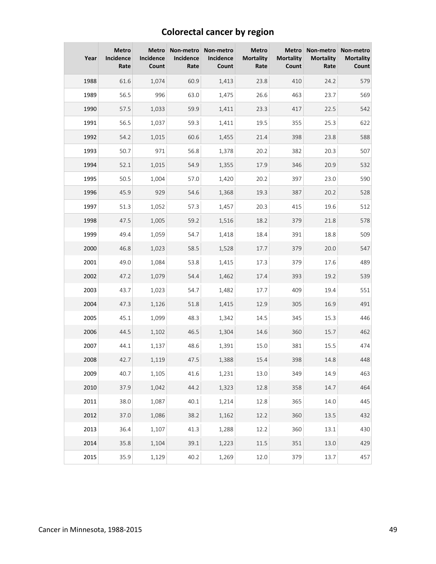# **Colorectal cancer by region**

| Year | <b>Metro</b><br>Incidence<br>Rate | <b>Metro</b><br>Incidence<br>Count | Incidence<br>Rate | Non-metro Non-metro<br><b>Incidence</b><br>Count | <b>Metro</b><br><b>Mortality</b><br>Rate | Metro<br><b>Mortality</b><br>Count | Non-metro<br><b>Mortality</b><br>Rate | Non-metro<br><b>Mortality</b><br>Count |
|------|-----------------------------------|------------------------------------|-------------------|--------------------------------------------------|------------------------------------------|------------------------------------|---------------------------------------|----------------------------------------|
| 1988 | 61.6                              | 1,074                              | 60.9              | 1,413                                            | 23.8                                     | 410                                | 24.2                                  | 579                                    |
| 1989 | 56.5                              | 996                                | 63.0              | 1,475                                            | 26.6                                     | 463                                | 23.7                                  | 569                                    |
| 1990 | 57.5                              | 1,033                              | 59.9              | 1,411                                            | 23.3                                     | 417                                | 22.5                                  | 542                                    |
| 1991 | 56.5                              | 1,037                              | 59.3              | 1,411                                            | 19.5                                     | 355                                | 25.3                                  | 622                                    |
| 1992 | 54.2                              | 1,015                              | 60.6              | 1,455                                            | 21.4                                     | 398                                | 23.8                                  | 588                                    |
| 1993 | 50.7                              | 971                                | 56.8              | 1,378                                            | 20.2                                     | 382                                | 20.3                                  | 507                                    |
| 1994 | 52.1                              | 1,015                              | 54.9              | 1,355                                            | 17.9                                     | 346                                | 20.9                                  | 532                                    |
| 1995 | 50.5                              | 1,004                              | 57.0              | 1,420                                            | 20.2                                     | 397                                | 23.0                                  | 590                                    |
| 1996 | 45.9                              | 929                                | 54.6              | 1,368                                            | 19.3                                     | 387                                | 20.2                                  | 528                                    |
| 1997 | 51.3                              | 1,052                              | 57.3              | 1,457                                            | 20.3                                     | 415                                | 19.6                                  | 512                                    |
| 1998 | 47.5                              | 1,005                              | 59.2              | 1,516                                            | 18.2                                     | 379                                | 21.8                                  | 578                                    |
| 1999 | 49.4                              | 1,059                              | 54.7              | 1,418                                            | 18.4                                     | 391                                | 18.8                                  | 509                                    |
| 2000 | 46.8                              | 1,023                              | 58.5              | 1,528                                            | 17.7                                     | 379                                | 20.0                                  | 547                                    |
| 2001 | 49.0                              | 1,084                              | 53.8              | 1,415                                            | 17.3                                     | 379                                | 17.6                                  | 489                                    |
| 2002 | 47.2                              | 1,079                              | 54.4              | 1,462                                            | 17.4                                     | 393                                | 19.2                                  | 539                                    |
| 2003 | 43.7                              | 1,023                              | 54.7              | 1,482                                            | 17.7                                     | 409                                | 19.4                                  | 551                                    |
| 2004 | 47.3                              | 1,126                              | 51.8              | 1,415                                            | 12.9                                     | 305                                | 16.9                                  | 491                                    |
| 2005 | 45.1                              | 1,099                              | 48.3              | 1,342                                            | 14.5                                     | 345                                | 15.3                                  | 446                                    |
| 2006 | 44.5                              | 1,102                              | 46.5              | 1,304                                            | 14.6                                     | 360                                | 15.7                                  | 462                                    |
| 2007 | 44.1                              | 1,137                              | 48.6              | 1,391                                            | 15.0                                     | 381                                | 15.5                                  | 474                                    |
| 2008 | 42.7                              | 1,119                              | 47.5              | 1,388                                            | 15.4                                     | 398                                | 14.8                                  | 448                                    |
| 2009 | 40.7                              | 1,105                              | 41.6              | 1,231                                            | 13.0                                     | 349                                | 14.9                                  | 463                                    |
| 2010 | 37.9                              | 1,042                              | 44.2              | 1,323                                            | 12.8                                     | 358                                | 14.7                                  | 464                                    |
| 2011 | 38.0                              | 1,087                              | 40.1              | 1,214                                            | 12.8                                     | 365                                | 14.0                                  | 445                                    |
| 2012 | 37.0                              | 1,086                              | 38.2              | 1,162                                            | 12.2                                     | 360                                | 13.5                                  | 432                                    |
| 2013 | 36.4                              | 1,107                              | 41.3              | 1,288                                            | 12.2                                     | 360                                | 13.1                                  | 430                                    |
| 2014 | 35.8                              | 1,104                              | 39.1              | 1,223                                            | 11.5                                     | 351                                | 13.0                                  | 429                                    |
| 2015 | 35.9                              | 1,129                              | 40.2              | 1,269                                            | 12.0                                     | 379                                | 13.7                                  | 457                                    |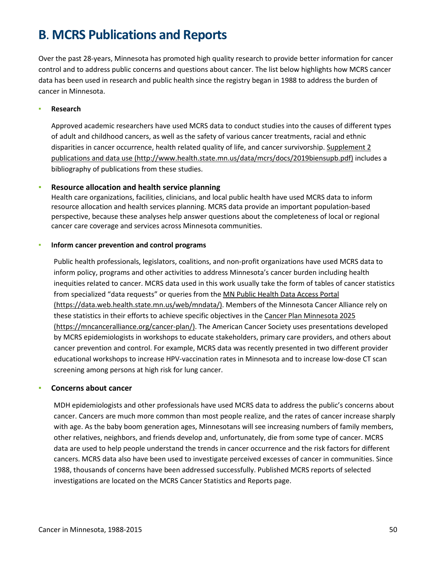# <span id="page-49-0"></span>**B**. **MCRS Publications and Reports**

Over the past 28-years, Minnesota has promoted high quality research to provide better information for cancer control and to address public concerns and questions about cancer. The list below highlights how MCRS cancer data has been used in research and public health since the registry began in 1988 to address the burden of cancer in Minnesota.

#### **Research**

Approved academic researchers have used MCRS data to conduct studies into the causes of different types of adult and childhood cancers, as well as the safety of various cancer treatments, racial and ethnic disparities in cancer occurrence, health related quality of life, and cancer survivorship. [Supplement 2](http://www.health.state.mn.us/data/mcrs/docs/2019biensupb.pdf)  [publications and data use \(http://www.health.state.mn.us/data/mcrs/docs/2019biensupb.pdf\)](http://www.health.state.mn.us/data/mcrs/docs/2019biensupb.pdf) includes a bibliography of publications from these studies.

#### ▪ **Resource allocation and health service planning**

Health care organizations, facilities, clinicians, and local public health have used MCRS data to inform resource allocation and health services planning. MCRS data provide an important population-based perspective, because these analyses help answer questions about the completeness of local or regional cancer care coverage and services across Minnesota communities.

#### ▪ **Inform cancer prevention and control programs**

Public health professionals, legislators, coalitions, and non-profit organizations have used MCRS data to inform policy, programs and other activities to address Minnesota's cancer burden including health inequities related to cancer. MCRS data used in this work usually take the form of tables of cancer statistics from specialized "data requests" or queries from the [MN Public Health Data Access Portal](https://data.web.health.state.mn.us/web/mndata/)  [\(https://data.web.health.state.mn.us/web/mndata/\).](https://data.web.health.state.mn.us/web/mndata/) Members of the Minnesota Cancer Alliance rely on these statistics in their efforts to achieve specific objectives in th[e Cancer Plan Minnesota 2025](https://mncanceralliance.org/cancer-plan/)  [\(https://mncanceralliance.org/cancer-plan/\).](https://mncanceralliance.org/cancer-plan/) The American Cancer Society uses presentations developed by MCRS epidemiologists in workshops to educate stakeholders, primary care providers, and others about cancer prevention and control. For example, MCRS data was recently presented in two different provider educational workshops to increase HPV-vaccination rates in Minnesota and to increase low-dose CT scan screening among persons at high risk for lung cancer.

#### **Concerns about cancer**

MDH epidemiologists and other professionals have used MCRS data to address the public's concerns about cancer. Cancers are much more common than most people realize, and the rates of cancer increase sharply with age. As the baby boom generation ages, Minnesotans will see increasing numbers of family members, other relatives, neighbors, and friends develop and, unfortunately, die from some type of cancer. MCRS data are used to help people understand the trends in cancer occurrence and the risk factors for different cancers. MCRS data also have been used to investigate perceived excesses of cancer in communities. Since 1988, thousands of concerns have been addressed successfully. Published MCRS reports of selected investigations are located on the MCRS Cancer Statistics and Reports page.